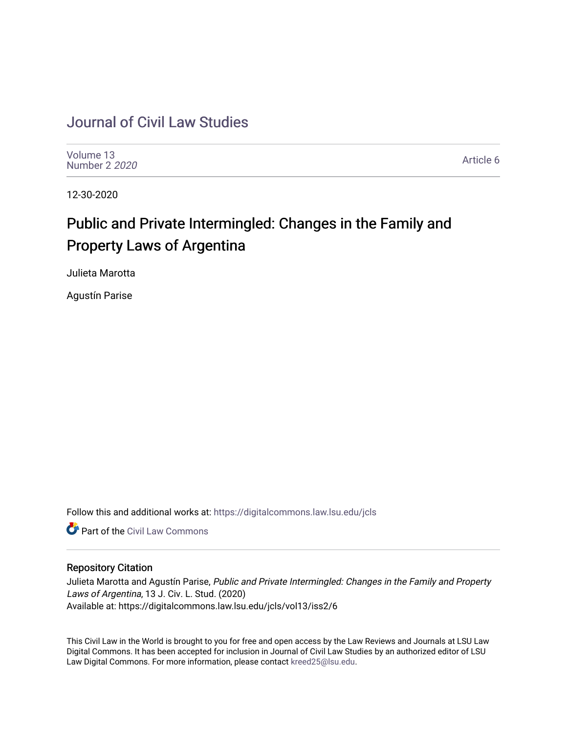# [Journal of Civil Law Studies](https://digitalcommons.law.lsu.edu/jcls)

[Volume 13](https://digitalcommons.law.lsu.edu/jcls/vol13) [Number 2](https://digitalcommons.law.lsu.edu/jcls/vol13/iss2) 2020

[Article 6](https://digitalcommons.law.lsu.edu/jcls/vol13/iss2/6) 

12-30-2020

# Public and Private Intermingled: Changes in the Family and Property Laws of Argentina

Julieta Marotta

Agustín Parise

Follow this and additional works at: [https://digitalcommons.law.lsu.edu/jcls](https://digitalcommons.law.lsu.edu/jcls?utm_source=digitalcommons.law.lsu.edu%2Fjcls%2Fvol13%2Fiss2%2F6&utm_medium=PDF&utm_campaign=PDFCoverPages) 

**C** Part of the [Civil Law Commons](http://network.bepress.com/hgg/discipline/835?utm_source=digitalcommons.law.lsu.edu%2Fjcls%2Fvol13%2Fiss2%2F6&utm_medium=PDF&utm_campaign=PDFCoverPages)

# Repository Citation

Julieta Marotta and Agustín Parise, Public and Private Intermingled: Changes in the Family and Property Laws of Argentina, 13 J. Civ. L. Stud. (2020) Available at: https://digitalcommons.law.lsu.edu/jcls/vol13/iss2/6

This Civil Law in the World is brought to you for free and open access by the Law Reviews and Journals at LSU Law Digital Commons. It has been accepted for inclusion in Journal of Civil Law Studies by an authorized editor of LSU Law Digital Commons. For more information, please contact [kreed25@lsu.edu](mailto:kreed25@lsu.edu).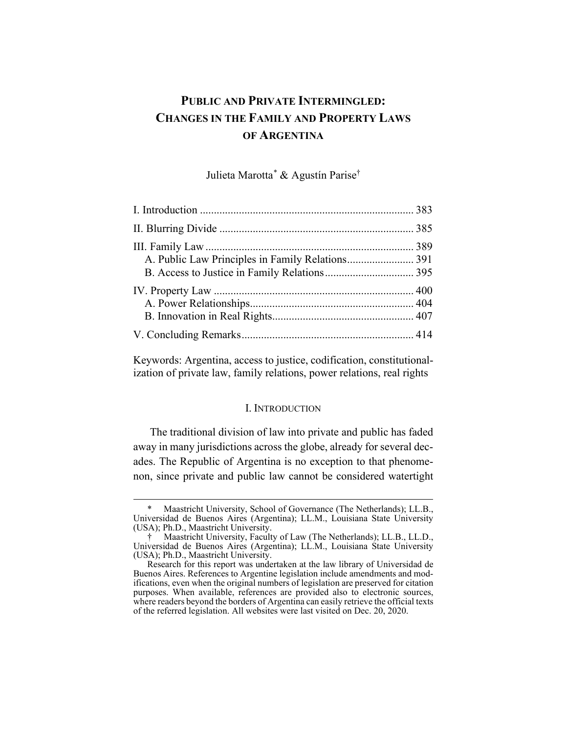# **PUBLIC AND PRIVATE INTERMINGLED: CHANGES IN THE FAMILY AND PROPERTY LAWS OF ARGENTINA**

Julieta Marotta[\\*](#page-1-1) & Agustín Parise†

<span id="page-1-0"></span>Keywords: Argentina, access to justice, codification, constitutionalization of private law, family relations, power relations, real rights

#### I. INTRODUCTION

The traditional division of law into private and public has faded away in many jurisdictions across the globe, already for several decades. The Republic of Argentina is no exception to that phenomenon, since private and public law cannot be considered watertight

<span id="page-1-1"></span>Maastricht University, School of Governance (The Netherlands); LL.B., Universidad de Buenos Aires (Argentina); LL.M., Louisiana State University (USA); Ph.D., Maastricht University.

<sup>†</sup> Maastricht University, Faculty of Law (The Netherlands); LL.B., LL.D., Universidad de Buenos Aires (Argentina); LL.M., Louisiana State University (USA); Ph.D., Maastricht University.

Research for this report was undertaken at the law library of Universidad de Buenos Aires. References to Argentine legislation include amendments and modifications, even when the original numbers of legislation are preserved for citation purposes. When available, references are provided also to electronic sources, where readers beyond the borders of Argentina can easily retrieve the official texts of the referred legislation. All websites were last visited on Dec. 20, 2020.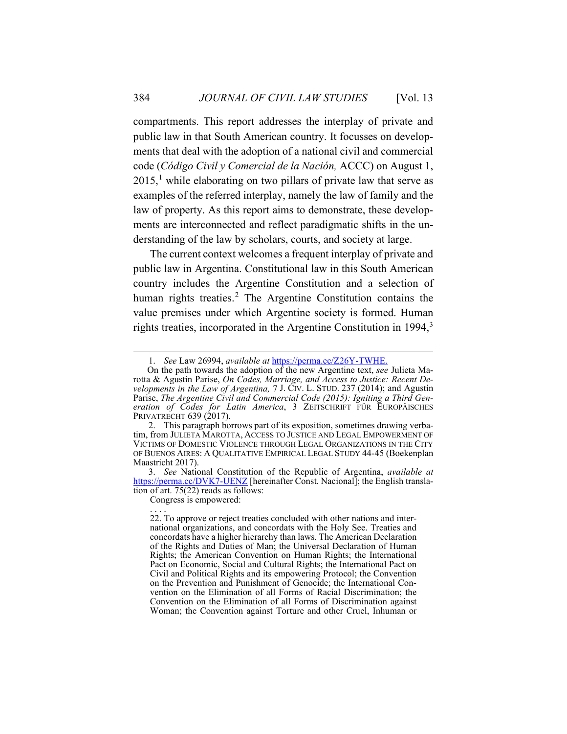<span id="page-2-3"></span>compartments. This report addresses the interplay of private and public law in that South American country. It focusses on developments that deal with the adoption of a national civil and commercial code (*Código Civil y Comercial de la Nación,* ACCC) on August 1,  $2015$  $2015$  $2015$ ,<sup>1</sup> while elaborating on two pillars of private law that serve as examples of the referred interplay, namely the law of family and the law of property. As this report aims to demonstrate, these developments are interconnected and reflect paradigmatic shifts in the understanding of the law by scholars, courts, and society at large.

The current context welcomes a frequent interplay of private and public law in Argentina. Constitutional law in this South American country includes the Argentine Constitution and a selection of human rights treaties.<sup>[2](#page-2-1)</sup> The Argentine Constitution contains the value premises under which Argentine society is formed. Human rights treaties, incorporated in the Argentine Constitution in  $1994$ ,<sup>[3](#page-2-2)</sup>

<span id="page-2-2"></span>3. *See* National Constitution of the Republic of Argentina, *available at*  <https://perma.cc/DVK7-UENZ> [hereinafter Const. Nacional]; the English translation of art.  $75(22)$  reads as follows:

Congress is empowered: . . . .

<span id="page-2-5"></span><span id="page-2-4"></span><sup>1.</sup> *See* Law 26994, *available at* <https://perma.cc/Z26Y-TWHE.>

<span id="page-2-0"></span>On the path towards the adoption of the new Argentine text, *see* Julieta Marotta & Agustín Parise, *On Codes, Marriage, and Access to Justice: Recent Developments in the Law of Argentina,* 7 J. CIV. L. STUD. 237 (2014); and Agustín Parise, *The Argentine Civil and Commercial Code (2015): Igniting a Third Generation of Codes for Latin America*, 3 ZEITSCHRIFT FÜR EUROPÄISCHES PRIVATRECHT 639 (2017).

<span id="page-2-1"></span><sup>2.</sup> This paragraph borrows part of its exposition, sometimes drawing verbatim, from JULIETA MAROTTA, ACCESS TO JUSTICE AND LEGAL EMPOWERMENT OF VICTIMS OF DOMESTIC VIOLENCE THROUGH LEGAL ORGANIZATIONS IN THE CITY OF BUENOS AIRES: A QUALITATIVE EMPIRICAL LEGAL STUDY 44-45 (Boekenplan Maastricht 2017).

<sup>22.</sup> To approve or reject treaties concluded with other nations and international organizations, and concordats with the Holy See. Treaties and concordats have a higher hierarchy than laws. The American Declaration of the Rights and Duties of Man; the Universal Declaration of Human Rights; the American Convention on Human Rights; the International Pact on Economic, Social and Cultural Rights; the International Pact on Civil and Political Rights and its empowering Protocol; the Convention on the Prevention and Punishment of Genocide; the International Convention on the Elimination of all Forms of Racial Discrimination; the Convention on the Elimination of all Forms of Discrimination against Woman; the Convention against Torture and other Cruel, Inhuman or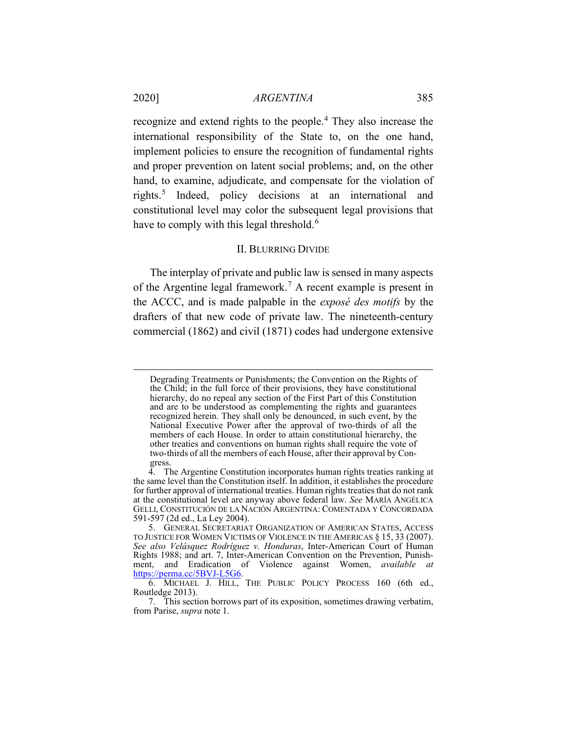recognize and extend rights to the people.[4](#page-3-1) They also increase the international responsibility of the State to, on the one hand, implement policies to ensure the recognition of fundamental rights and proper prevention on latent social problems; and, on the other hand, to examine, adjudicate, and compensate for the violation of rights.[5](#page-3-2) Indeed, policy decisions at an international and constitutional level may color the subsequent legal provisions that have to comply with this legal threshold.<sup>[6](#page-3-3)</sup>

#### <span id="page-3-5"></span>II. BLURRING DIVIDE

<span id="page-3-0"></span>The interplay of private and public law is sensed in many aspects of the Argentine legal framework.[7](#page-3-4) A recent example is present in the ACCC, and is made palpable in the *exposé des motifs* by the drafters of that new code of private law. The nineteenth-century commercial (1862) and civil (1871) codes had undergone extensive

Degrading Treatments or Punishments; the Convention on the Rights of the Child; in the full force of their provisions, they have constitutional hierarchy, do no repeal any section of the First Part of this Constitution and are to be understood as complementing the rights and guarantees recognized herein. They shall only be denounced, in such event, by the National Executive Power after the approval of two-thirds of all the members of each House. In order to attain constitutional hierarchy, the other treaties and conventions on human rights shall require the vote of two-thirds of all the members of each House, after their approval by Congress.<br>4. Th

<span id="page-3-1"></span><sup>4.</sup> The Argentine Constitution incorporates human rights treaties ranking at the same level than the Constitution itself. In addition, it establishes the procedure for further approval of international treaties. Human rights treaties that do not rank at the constitutional level are anyway above federal law. *See* MARÍA ANGÉLICA GELLI, CONSTITUCIÓN DE LA NACIÓN ARGENTINA: COMENTADA Y CONCORDADA 591-597 (2d ed., La Ley 2004).

<span id="page-3-2"></span><sup>5.</sup> GENERAL SECRETARIAT ORGANIZATION OF AMERICAN STATES, ACCESS TO JUSTICE FOR WOMEN VICTIMS OF VIOLENCE IN THE AMERICAS § 15, 33 (2007). *See also Velásquez Rodríguez v. Honduras*, Inter-American Court of Human Rights 1988; and art. 7, Inter-American Convention on the Prevention, Punishment, and Eradication of Violence against Women, *available* [https://perma.cc/5BVJ-L5G6.](https://perma.cc/5BVJ-L5G6)

<span id="page-3-3"></span><sup>6.</sup> MICHAEL J. HILL, THE PUBLIC POLICY PROCESS 160 (6th ed., Routledge 2013).

<span id="page-3-4"></span><sup>7.</sup> This section borrows part of its exposition, sometimes drawing verbatim, from Parise, *supra* note [1.](#page-2-3)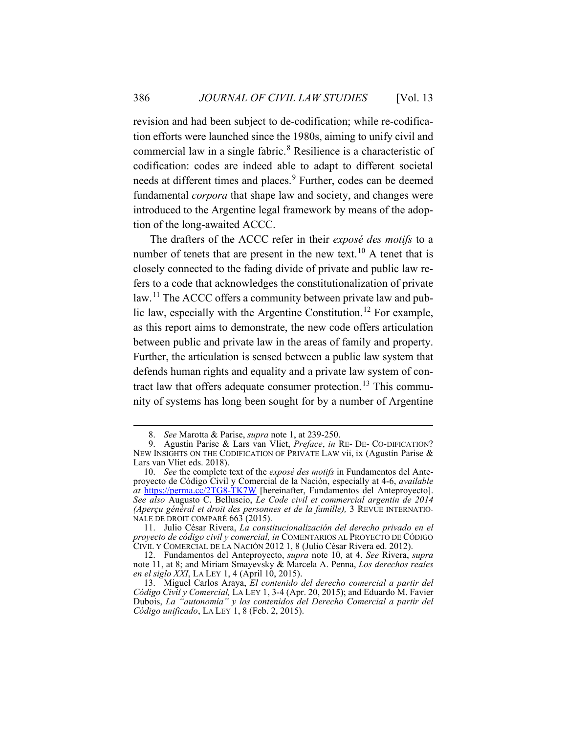revision and had been subject to de-codification; while re-codification efforts were launched since the 1980s, aiming to unify civil and commercial law in a single fabric.[8](#page-4-2) Resilience is a characteristic of codification: codes are indeed able to adapt to different societal needs at different times and places.<sup>[9](#page-4-3)</sup> Further, codes can be deemed fundamental *corpora* that shape law and society, and changes were introduced to the Argentine legal framework by means of the adoption of the long-awaited ACCC.

<span id="page-4-8"></span><span id="page-4-1"></span><span id="page-4-0"></span>The drafters of the ACCC refer in their *exposé des motifs* to a number of tenets that are present in the new text.[10](#page-4-4) A tenet that is closely connected to the fading divide of private and public law refers to a code that acknowledges the constitutionalization of private law.<sup>[11](#page-4-5)</sup> The ACCC offers a community between private law and pub-lic law, especially with the Argentine Constitution.<sup>[12](#page-4-6)</sup> For example, as this report aims to demonstrate, the new code offers articulation between public and private law in the areas of family and property. Further, the articulation is sensed between a public law system that defends human rights and equality and a private law system of con-tract law that offers adequate consumer protection.<sup>[13](#page-4-7)</sup> This community of systems has long been sought for by a number of Argentine

<sup>8.</sup> *See* Marotta & Parise, *supra* note [1,](#page-2-3) at 239-250.

<span id="page-4-3"></span><span id="page-4-2"></span><sup>9.</sup> Agustín Parise & Lars van Vliet, Preface, in RE- DE- CO-DIFICATION? NEW INSIGHTS ON THE CODIFICATION OF PRIVATE LAW vii, ix (Agustín Parise & Lars van Vliet eds. 2018).

<span id="page-4-4"></span><sup>10.</sup> *See* the complete text of the *exposé des motifs* in Fundamentos del Anteproyecto de Código Civil y Comercial de la Nación, especially at 4-6, *available at* <https://perma.cc/2TG8-TK7W> [hereinafter, Fundamentos del Anteproyecto]. *See also* Augusto C. Belluscio, *Le Code civil et commercial argentin de 2014 (Aperçu général et droit des personnes et de la famille),* 3 REVUE INTERNATIO-NALE DE DROIT COMPARÉ 663 (2015).

<span id="page-4-5"></span><sup>11.</sup> Julio César Rivera, *La constitucionalización del derecho privado en el proyecto de código civil y comercial, in* COMENTARIOS AL PROYECTO DE CÓDIGO CIVIL Y COMERCIAL DE LA NACIÓN 2012 1, 8 (Julio César Rivera ed. 2012).

<span id="page-4-6"></span><sup>12.</sup> Fundamentos del Anteproyecto, *supra* note [10,](#page-4-0) at 4. *See* Rivera, *supra*  note [11,](#page-4-1) at 8; and Miriam Smayevsky & Marcela A. Penna, *Los derechos reales en el siglo XXI*, LA LEY 1, 4 (April 10, 2015).

<span id="page-4-7"></span><sup>13.</sup> Miguel Carlos Araya, *El contenido del derecho comercial a partir del Código Civil y Comercial,* LA LEY 1, 3-4 (Apr. 20, 2015); and Eduardo M. Favier Dubois, *La "autonomía" y los contenidos del Derecho Comercial a partir del Código unificado*, LA LEY 1, 8 (Feb. 2, 2015).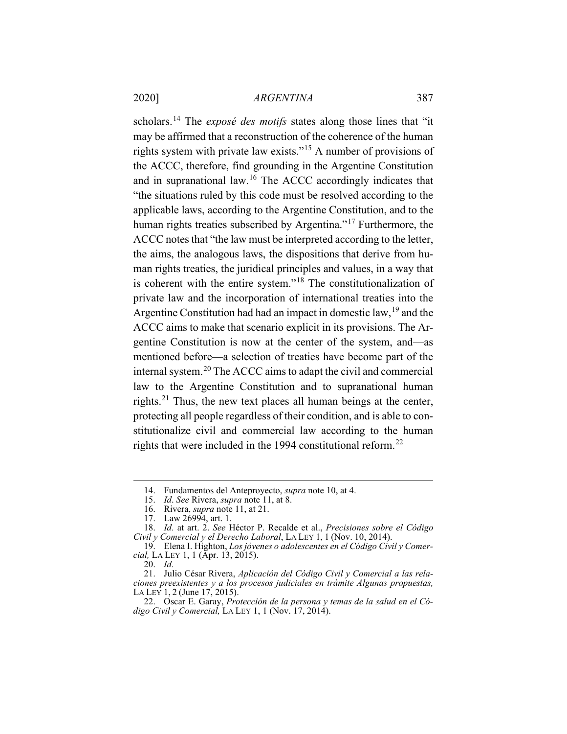scholars.[14](#page-5-0) The *exposé des motifs* states along those lines that "it may be affirmed that a reconstruction of the coherence of the human rights system with private law exists."[15](#page-5-1) A number of provisions of the ACCC, therefore, find grounding in the Argentine Constitution and in supranational law.<sup>[16](#page-5-2)</sup> The ACCC accordingly indicates that "the situations ruled by this code must be resolved according to the applicable laws, according to the Argentine Constitution, and to the human rights treaties subscribed by Argentina."<sup>[17](#page-5-3)</sup> Furthermore, the ACCC notes that "the law must be interpreted according to the letter, the aims, the analogous laws, the dispositions that derive from human rights treaties, the juridical principles and values, in a way that is coherent with the entire system."[18](#page-5-4) The constitutionalization of private law and the incorporation of international treaties into the Argentine Constitution had had an impact in domestic law,  $19$  and the ACCC aims to make that scenario explicit in its provisions. The Argentine Constitution is now at the center of the system, and—as mentioned before—a selection of treaties have become part of the internal system.[20](#page-5-6) The ACCC aims to adapt the civil and commercial law to the Argentine Constitution and to supranational human rights.<sup>[21](#page-5-7)</sup> Thus, the new text places all human beings at the center, protecting all people regardless of their condition, and is able to constitutionalize civil and commercial law according to the human rights that were included in the 1994 constitutional reform.<sup>[22](#page-5-8)</sup>

<sup>14.</sup> Fundamentos del Anteproyecto, *supra* not[e 10,](#page-4-0) at 4.

<sup>15.</sup> *Id*. *See* Rivera, *supra* note [11,](#page-4-1) at 8.

<sup>16.</sup> Rivera, *supra* not[e 11,](#page-4-1) at 21.

<sup>17.</sup> Law 26994, art. 1.

<span id="page-5-4"></span><span id="page-5-3"></span><span id="page-5-2"></span><span id="page-5-1"></span><span id="page-5-0"></span><sup>18.</sup> *Id.* at art. 2. *See* Héctor P. Recalde et al., *Precisiones sobre el Código Civil y Comercial y el Derecho Laboral*, LA LEY 1, 1 (Nov. 10, 2014).

<span id="page-5-5"></span><sup>19.</sup> Elena I. Highton, *Los jóvenes o adolescentes en el Código Civil y Comercial*, LA LEY 1, 1 (Apr. 13, 2015).

<sup>20.</sup> *Id.*

<span id="page-5-7"></span><span id="page-5-6"></span><sup>21.</sup> Julio César Rivera, *Aplicación del Código Civil y Comercial a las relaciones preexistentes y a los procesos judiciales en trámite Algunas propuestas,* LA LEY 1, 2 (June 17, 2015).

<span id="page-5-8"></span><sup>22.</sup> Oscar E. Garay, *Protección de la persona y temas de la salud en el Código Civil y Comercial,* LA LEY 1, 1 (Nov. 17, 2014).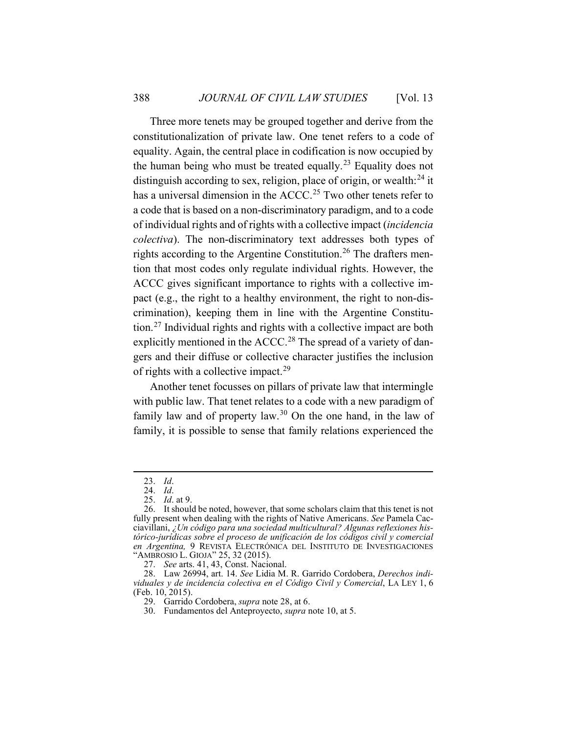Three more tenets may be grouped together and derive from the constitutionalization of private law. One tenet refers to a code of equality. Again, the central place in codification is now occupied by the human being who must be treated equally.<sup>[23](#page-6-1)</sup> Equality does not distinguish according to sex, religion, place of origin, or wealth: $^{24}$  $^{24}$  $^{24}$  it has a universal dimension in the ACCC.<sup>[25](#page-6-3)</sup> Two other tenets refer to a code that is based on a non-discriminatory paradigm, and to a code of individual rights and of rights with a collective impact (*incidencia colectiva*). The non-discriminatory text addresses both types of rights according to the Argentine Constitution.<sup>[26](#page-6-4)</sup> The drafters mention that most codes only regulate individual rights. However, the ACCC gives significant importance to rights with a collective impact (e.g., the right to a healthy environment, the right to non-discrimination), keeping them in line with the Argentine Constitution.[27](#page-6-5) Individual rights and rights with a collective impact are both explicitly mentioned in the  $ACCC<sup>28</sup>$  $ACCC<sup>28</sup>$  $ACCC<sup>28</sup>$  The spread of a variety of dangers and their diffuse or collective character justifies the inclusion of rights with a collective impact.<sup>[29](#page-6-7)</sup>

<span id="page-6-0"></span>Another tenet focusses on pillars of private law that intermingle with public law. That tenet relates to a code with a new paradigm of family law and of property law.<sup>[30](#page-6-8)</sup> On the one hand, in the law of family, it is possible to sense that family relations experienced the

<sup>23.</sup> *Id*.

<sup>24.</sup> *Id*. 25. *Id*. at 9.

<span id="page-6-4"></span><span id="page-6-3"></span><span id="page-6-2"></span><span id="page-6-1"></span><sup>26.</sup> It should be noted, however, that some scholars claim that this tenet is not fully present when dealing with the rights of Native Americans. *See* Pamela Cacciavillani, *¿Un código para una sociedad multicultural? Algunas reflexiones histórico-jurídicas sobre el proceso de unificación de los códigos civil y comercial en Argentina,* 9 REVISTA ELECTRÓNICA DEL INSTITUTO DE INVESTIGACIONES "AMBROSIO L. GIOJA" 25, 32 (2015).

<sup>27.</sup> *See* arts. 41, 43, Const. Nacional.

<span id="page-6-8"></span><span id="page-6-7"></span><span id="page-6-6"></span><span id="page-6-5"></span><sup>28.</sup> Law 26994, art. 14. *See* Lidia M. R. Garrido Cordobera, *Derechos individuales y de incidencia colectiva en el Código Civil y Comercial*, LA LEY 1, 6 (Feb. 10, 2015).

<sup>29.</sup> Garrido Cordobera, *supra* note [28,](#page-6-0) at 6.

<sup>30.</sup> Fundamentos del Anteproyecto, *supra* not[e 10,](#page-4-0) at 5.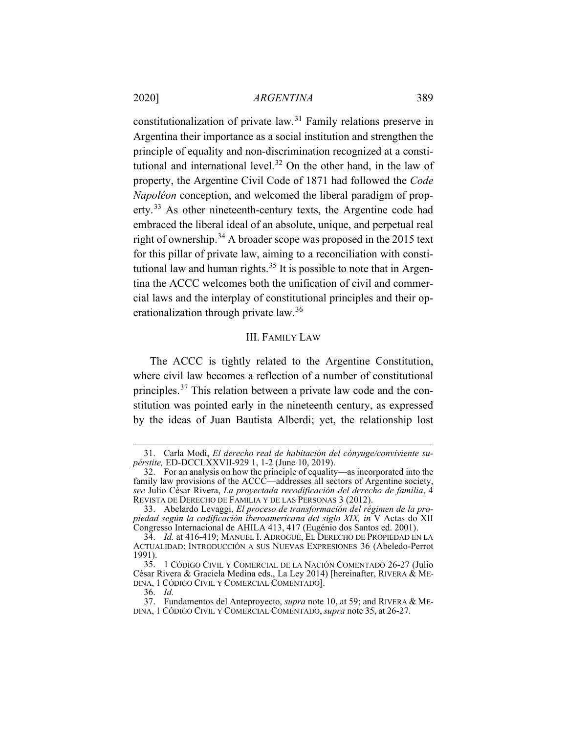constitutionalization of private law.[31](#page-7-2) Family relations preserve in Argentina their importance as a social institution and strengthen the principle of equality and non-discrimination recognized at a consti-tutional and international level.<sup>[32](#page-7-3)</sup> On the other hand, in the law of property, the Argentine Civil Code of 1871 had followed the *Code Napoléon* conception, and welcomed the liberal paradigm of prop-erty.<sup>[33](#page-7-4)</sup> As other nineteenth-century texts, the Argentine code had embraced the liberal ideal of an absolute, unique, and perpetual real right of ownership.<sup>[34](#page-7-5)</sup> A broader scope was proposed in the 2015 text for this pillar of private law, aiming to a reconciliation with consti-tutional law and human rights.<sup>[35](#page-7-6)</sup> It is possible to note that in Argentina the ACCC welcomes both the unification of civil and commercial laws and the interplay of constitutional principles and their op-erationalization through private law.<sup>[36](#page-7-7)</sup>

## <span id="page-7-1"></span>III. FAMILY LAW

<span id="page-7-0"></span>The ACCC is tightly related to the Argentine Constitution, where civil law becomes a reflection of a number of constitutional principles.<sup>[37](#page-7-8)</sup> This relation between a private law code and the constitution was pointed early in the nineteenth century, as expressed by the ideas of Juan Bautista Alberdi; yet, the relationship lost

<span id="page-7-2"></span><sup>31.</sup> Carla Modi, *El derecho real de habitación del cónyuge/conviviente supérstite,* ED-DCCLXXVII-929 1, 1-2 (June 10, 2019).

<span id="page-7-3"></span><sup>32.</sup> For an analysis on how the principle of equality—as incorporated into the family law provisions of the ACCC—addresses all sectors of Argentine society, *see* Julio César Rivera, *La proyectada recodificación del derecho de familia*, 4 REVISTA DE DERECHO DE FAMILIA Y DE LAS PERSONAS 3 (2012).

<span id="page-7-4"></span><sup>33.</sup> Abelardo Levaggi, *El proceso de transformación del régimen de la propiedad según la codificación iberoamericana del siglo XIX, in* V Actas do XII Congresso Internacional de AHILA 413, 417 (Eugénio dos Santos ed. 2001).

<span id="page-7-5"></span><sup>34.</sup> *Id.* at 416-419; MANUEL I. ADROGUÉ, EL DERECHO DE PROPIEDAD EN LA ACTUALIDAD: INTRODUCCIÓN A SUS NUEVAS EXPRESIONES 36 (Abeledo-Perrot 1991).

<span id="page-7-6"></span><sup>35.</sup> 1 CÓDIGO CIVIL Y COMERCIAL DE LA NACIÓN COMENTADO 26-27 (Julio César Rivera & Graciela Medina eds., La Ley 2014) [hereinafter, RIVERA & ME-DINA, 1 CÓDIGO CIVIL Y COMERCIAL COMENTADO].

<sup>36.</sup> *Id.*

<span id="page-7-8"></span><span id="page-7-7"></span><sup>37.</sup> Fundamentos del Anteproyecto, *supra* note [10,](#page-4-0) at 59; and RIVERA & ME-DINA, 1 CÓDIGO CIVIL Y COMERCIAL COMENTADO, *supra* note [35,](#page-7-1) at 26-27.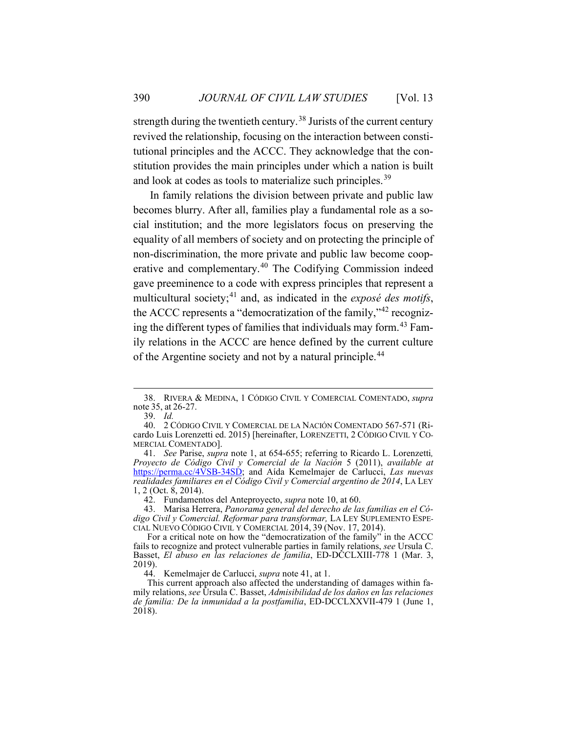strength during the twentieth century.<sup>[38](#page-8-1)</sup> Jurists of the current century revived the relationship, focusing on the interaction between constitutional principles and the ACCC. They acknowledge that the constitution provides the main principles under which a nation is built and look at codes as tools to materialize such principles.<sup>39</sup>

<span id="page-8-8"></span><span id="page-8-0"></span>In family relations the division between private and public law becomes blurry. After all, families play a fundamental role as a social institution; and the more legislators focus on preserving the equality of all members of society and on protecting the principle of non-discrimination, the more private and public law become cooperative and complementary.[40](#page-8-3) The Codifying Commission indeed gave preeminence to a code with express principles that represent a multicultural society;[41](#page-8-4) and, as indicated in the *exposé des motifs*, the ACCC represents a "democratization of the family,"[42](#page-8-5) recogniz-ing the different types of families that individuals may form.<sup>[43](#page-8-6)</sup> Family relations in the ACCC are hence defined by the current culture of the Argentine society and not by a natural principle.<sup>[44](#page-8-7)</sup>

<span id="page-8-4"></span>41. *See* Parise, *supra* note [1,](#page-2-3) at 654-655; referring to Ricardo L. Lorenzetti*, Proyecto de Código Civil y Comercial de la Nación* 5 (2011), *available at* [https://perma.cc/4VSB-34SD;](https://perma.cc/4VSB-34SD) and Aída Kemelmajer de Carlucci, *Las nuevas realidades familiares en el Código Civil y Comercial argentino de 2014*, LA LEY 1, 2 (Oct. 8, 2014).

<span id="page-8-1"></span><sup>38.</sup> RIVERA & MEDINA, 1 CÓDIGO CIVIL Y COMERCIAL COMENTADO, *supra* note [35,](#page-7-1) at 26-27.

<sup>39.</sup> *Id.*

<span id="page-8-3"></span><span id="page-8-2"></span><sup>40.</sup> 2 CÓDIGO CIVIL Y COMERCIAL DE LA NACIÓN COMENTADO 567-571 (Ricardo Luis Lorenzetti ed. 2015) [hereinafter, LORENZETTI, 2 CÓDIGO CIVIL Y CO-MERCIAL COMENTADO].<br>41. See Parise, *supra* note 1, at 654-655; referring to Ricardo L. Lorenzetti,

<sup>42.</sup> Fundamentos del Anteproyecto, *supra* not[e 10,](#page-4-0) at 60.

<span id="page-8-6"></span><span id="page-8-5"></span><sup>43.</sup> Marisa Herrera, *Panorama general del derecho de las familias en el Código Civil y Comercial. Reformar para transformar,* LA LEY SUPLEMENTO ESPE-CIAL NUEVO CÓDIGO CIVIL Y COMERCIAL 2014, 39 (Nov. 17, 2014).

For a critical note on how the "democratization of the family" in the ACCC fails to recognize and protect vulnerable parties in family relations, *see* Ursula C. Basset, *El abuso en las relaciones de familia*, ED-DCCLXIII-778 1 (Mar. 3, 2019).

<sup>44.</sup> Kemelmajer de Carlucci, *supra* not[e 41,](#page-8-0) at 1.

<span id="page-8-7"></span>This current approach also affected the understanding of damages within family relations, *see* Úrsula C. Basset, *Admisibilidad de los daños en las relaciones de familia: De la inmunidad a la postfamilia*, ED-DCCLXXVII-479 1 (June 1, 2018).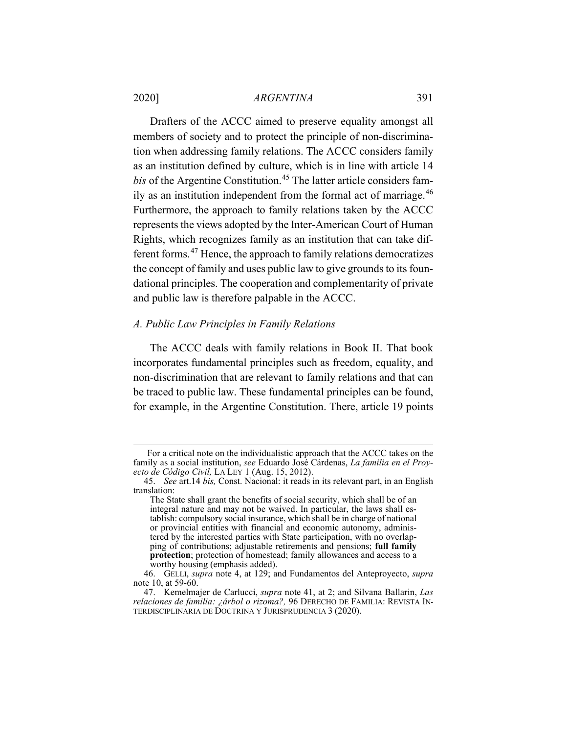Drafters of the ACCC aimed to preserve equality amongst all members of society and to protect the principle of non-discrimination when addressing family relations. The ACCC considers family as an institution defined by culture, which is in line with article 14 *bis* of the Argentine Constitution.<sup>[45](#page-9-1)</sup> The latter article considers fam-ily as an institution independent from the formal act of marriage.<sup>[46](#page-9-2)</sup> Furthermore, the approach to family relations taken by the ACCC represents the views adopted by the Inter-American Court of Human Rights, which recognizes family as an institution that can take different forms.[47](#page-9-3) Hence, the approach to family relations democratizes the concept of family and uses public law to give grounds to its foundational principles. The cooperation and complementarity of private and public law is therefore palpable in the ACCC.

#### <span id="page-9-0"></span>*A. Public Law Principles in Family Relations*

The ACCC deals with family relations in Book II. That book incorporates fundamental principles such as freedom, equality, and non-discrimination that are relevant to family relations and that can be traced to public law. These fundamental principles can be found, for example, in the Argentine Constitution. There, article 19 points

For a critical note on the individualistic approach that the ACCC takes on the family as a social institution, *see* Eduardo José Cárdenas, *La familia en el Proyecto de Código Civil,* LA LEY 1 (Aug. 15, 2012).

<span id="page-9-1"></span><sup>45.</sup> *See* art.14 *bis,* Const. Nacional: it reads in its relevant part, in an English translation:

The State shall grant the benefits of social security, which shall be of an integral nature and may not be waived. In particular, the laws shall establish: compulsory social insurance, which shall be in charge of national or provincial entities with financial and economic autonomy, administered by the interested parties with State participation, with no overlapping of contributions; adjustable retirements and pensions; **full family protection**; protection of homestead; family allowances and access to a worthy housing (emphasis added).

<span id="page-9-2"></span><sup>46.</sup> GELLI, *supra* note [4,](#page-3-5) at 129; and Fundamentos del Anteproyecto, *supra* not[e 10,](#page-4-0) at 59-60.

<span id="page-9-3"></span><sup>47.</sup> Kemelmajer de Carlucci, *supra* note [41,](#page-8-0) at 2; and Silvana Ballarin, *Las relaciones de familia: ¿árbol o rizoma?,* 96 DERECHO DE FAMILIA: REVISTA IN-TERDISCIPLINARIA DE DOCTRINA Y JURISPRUDENCIA 3 (2020).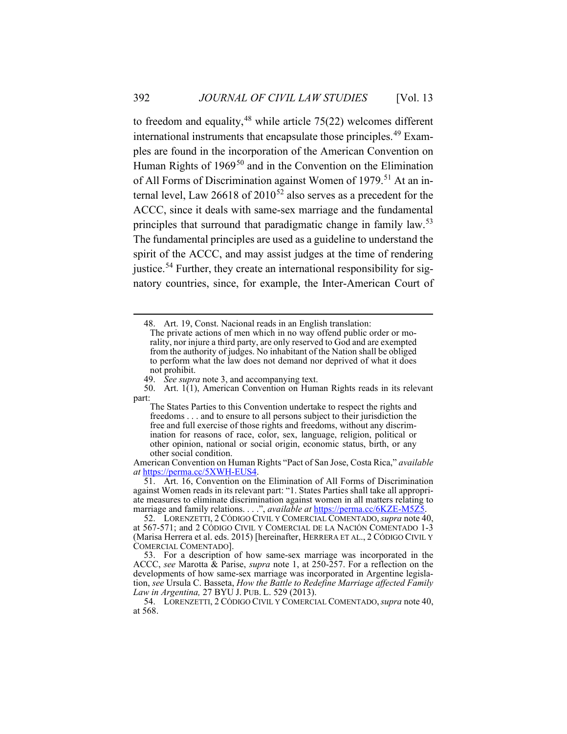<span id="page-10-7"></span>to freedom and equality,  $48$  while article 75(22) welcomes different international instruments that encapsulate those principles.[49](#page-10-1) Examples are found in the incorporation of the American Convention on Human Rights of 1969<sup>[50](#page-10-2)</sup> and in the Convention on the Elimination of All Forms of Discrimination against Women of 1979.<sup>[51](#page-10-3)</sup> At an internal level, Law 26618 of  $2010^{52}$  $2010^{52}$  $2010^{52}$  also serves as a precedent for the ACCC, since it deals with same-sex marriage and the fundamental principles that surround that paradigmatic change in family law.<sup>[53](#page-10-5)</sup> The fundamental principles are used as a guideline to understand the spirit of the ACCC, and may assist judges at the time of rendering justice.<sup>[54](#page-10-6)</sup> Further, they create an international responsibility for signatory countries, since, for example, the Inter-American Court of

<span id="page-10-0"></span>48. Art. 19, Const. Nacional reads in an English translation:

49. *See supra* not[e 3,](#page-2-4) and accompanying text.

American Convention on Human Rights "Pact of San Jose, Costa Rica," *available at* [https://perma.cc/5XWH-EUS4.](https://perma.cc/5XWH-EUS4)

<span id="page-10-3"></span>51. Art. 16, Convention on the Elimination of All Forms of Discrimination against Women reads in its relevant part: "1. States Parties shall take all appropriate measures to eliminate discrimination against women in all matters relating to marriage and family relations. . . .", *available at* [https://perma.cc/6KZE-M5Z5.](https://perma.cc/6KZE-M5Z5)

<span id="page-10-4"></span>52. LORENZETTI, <sup>2</sup> CÓDIGO CIVIL Y COMERCIAL COMENTADO,*supra* not[e 40,](#page-8-8) at 567-571; and 2 CÓDIGO CIVIL Y COMERCIAL DE LA NACIÓN COMENTADO 1-3 (Marisa Herrera et al. eds. 2015) [hereinafter, HERRERA ET AL., 2 CÓDIGO CIVIL Y COMERCIAL COMENTADO].

<span id="page-10-5"></span>53. For a description of how same-sex marriage was incorporated in the ACCC, *see* Marotta & Parise, *supra* note [1,](#page-2-3) at 250-257. For a reflection on the developments of how same-sex marriage was incorporated in Argentine legislation, *see* Ursula C. Basseta, *How the Battle to Redefine Marriage affected Family Law in Argentina,* 27 BYU J. PUB. L. 529 (2013).

<span id="page-10-6"></span>54. LORENZETTI, 2 CÓDIGO CIVIL Y COMERCIAL COMENTADO,*supra* not[e 40,](#page-8-8) at 568.

The private actions of men which in no way offend public order or morality, nor injure a third party, are only reserved to God and are exempted from the authority of judges. No inhabitant of the Nation shall be obliged to perform what the law does not demand nor deprived of what it does not prohibit.

<span id="page-10-2"></span><span id="page-10-1"></span><sup>50.</sup> Art. 1(1), American Convention on Human Rights reads in its relevant part:

The States Parties to this Convention undertake to respect the rights and freedoms . . . and to ensure to all persons subject to their jurisdiction the free and full exercise of those rights and freedoms, without any discrimination for reasons of race, color, sex, language, religion, political or other opinion, national or social origin, economic status, birth, or any other social condition.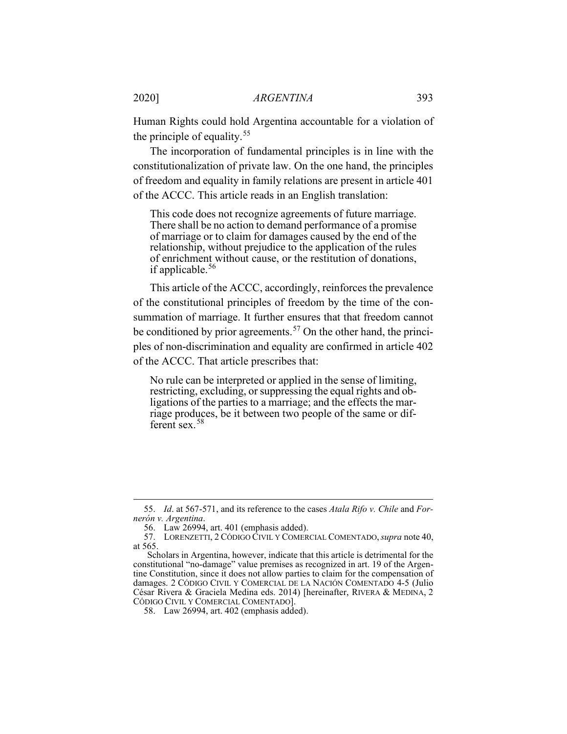Human Rights could hold Argentina accountable for a violation of the principle of equality.[55](#page-11-0)

The incorporation of fundamental principles is in line with the constitutionalization of private law. On the one hand, the principles of freedom and equality in family relations are present in article 401 of the ACCC. This article reads in an English translation:

This code does not recognize agreements of future marriage. There shall be no action to demand performance of a promise of marriage or to claim for damages caused by the end of the relationship, without prejudice to the application of the rules of enrichment without cause, or the restitution of donations, if applicable.<sup>[56](#page-11-1)</sup>

This article of the ACCC, accordingly, reinforces the prevalence of the constitutional principles of freedom by the time of the consummation of marriage. It further ensures that that freedom cannot be conditioned by prior agreements.<sup>[57](#page-11-2)</sup> On the other hand, the principles of non-discrimination and equality are confirmed in article 402 of the ACCC. That article prescribes that:

<span id="page-11-4"></span>No rule can be interpreted or applied in the sense of limiting, restricting, excluding, or suppressing the equal rights and obligations of the parties to a marriage; and the effects the marriage produces, be it between two people of the same or different sex.[58](#page-11-3)

<span id="page-11-0"></span><sup>55.</sup> *Id*. at 567-571, and its reference to the cases *Atala Rifo v. Chile* and *For-*

<sup>56.</sup> Law 26994, art. 401 (emphasis added).

<span id="page-11-2"></span><span id="page-11-1"></span><sup>57.</sup> LORENZETTI, 2 CÓDIGO CIVIL Y COMERCIAL COMENTADO,*supra* not[e 40,](#page-8-8) at 565.

Scholars in Argentina, however, indicate that this article is detrimental for the constitutional "no-damage" value premises as recognized in art. 19 of the Argentine Constitution, since it does not allow parties to claim for the compensation of damages. 2 CÓDIGO CIVIL Y COMERCIAL DE LA NACIÓN COMENTADO 4-5 (Julio César Rivera & Graciela Medina eds. 2014) [hereinafter, RIVERA & MEDINA, 2 CÓDIGO CIVIL Y COMERCIAL COMENTADO].

<span id="page-11-3"></span><sup>58.</sup> Law 26994, art. 402 (emphasis added).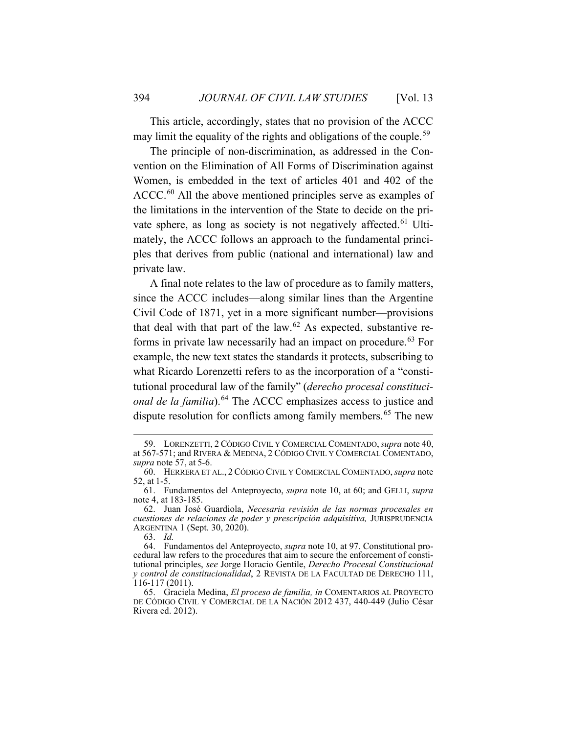This article, accordingly, states that no provision of the ACCC may limit the equality of the rights and obligations of the couple.<sup>[59](#page-12-0)</sup>

The principle of non-discrimination, as addressed in the Convention on the Elimination of All Forms of Discrimination against Women, is embedded in the text of articles 401 and 402 of the ACCC.<sup>[60](#page-12-1)</sup> All the above mentioned principles serve as examples of the limitations in the intervention of the State to decide on the pri-vate sphere, as long as society is not negatively affected.<sup>[61](#page-12-2)</sup> Ultimately, the ACCC follows an approach to the fundamental principles that derives from public (national and international) law and private law.

A final note relates to the law of procedure as to family matters, since the ACCC includes—along similar lines than the Argentine Civil Code of 1871, yet in a more significant number—provisions that deal with that part of the law.<sup>[62](#page-12-3)</sup> As expected, substantive re-forms in private law necessarily had an impact on procedure.<sup>[63](#page-12-4)</sup> For example, the new text states the standards it protects, subscribing to what Ricardo Lorenzetti refers to as the incorporation of a "constitutional procedural law of the family" (*derecho procesal constitucional de la familia*).<sup>[64](#page-12-5)</sup> The ACCC emphasizes access to justice and dispute resolution for conflicts among family members.<sup>[65](#page-12-6)</sup> The new

<span id="page-12-7"></span><span id="page-12-0"></span><sup>59.</sup> LORENZETTI, 2 CÓDIGO CIVIL Y COMERCIAL COMENTADO,*supra* not[e 40,](#page-8-8) at 567-571; and RIVERA & MEDINA, 2 CÓDIGO CIVIL Y COMERCIAL COMENTADO, *supra* note [57,](#page-11-4) at 5-6.

<span id="page-12-1"></span><sup>60.</sup> HERRERA ET AL., 2 CÓDIGO CIVIL Y COMERCIAL COMENTADO,*supra* note [52,](#page-10-7) at 1-5.

<span id="page-12-2"></span><sup>61.</sup> Fundamentos del Anteproyecto, *supra* note [10,](#page-4-0) at 60; and GELLI, *supra* not[e 4,](#page-3-5) at 183-185.

<span id="page-12-3"></span><sup>62.</sup> Juan José Guardiola, *Necesaria revisión de las normas procesales en cuestiones de relaciones de poder y prescripción adquisitiva,* JURISPRUDENCIA ARGENTINA 1 (Sept. 30, 2020).

<sup>63.</sup> *Id.*

<span id="page-12-5"></span><span id="page-12-4"></span><sup>64.</sup> Fundamentos del Anteproyecto, *supra* not[e 10,](#page-4-0) at 97. Constitutional procedural law refers to the procedures that aim to secure the enforcement of constitutional principles, *see* Jorge Horacio Gentile, *Derecho Procesal Constitucional y control de constitucionalidad*, 2 REVISTA DE LA FACULTAD DE DERECHO 111, 116-117 (2011).

<span id="page-12-6"></span><sup>65.</sup> Graciela Medina, *El proceso de familia, in* COMENTARIOS AL PROYECTO DE CÓDIGO CIVIL Y COMERCIAL DE LA NACIÓN 2012 437, 440-449 (Julio César Rivera ed. 2012).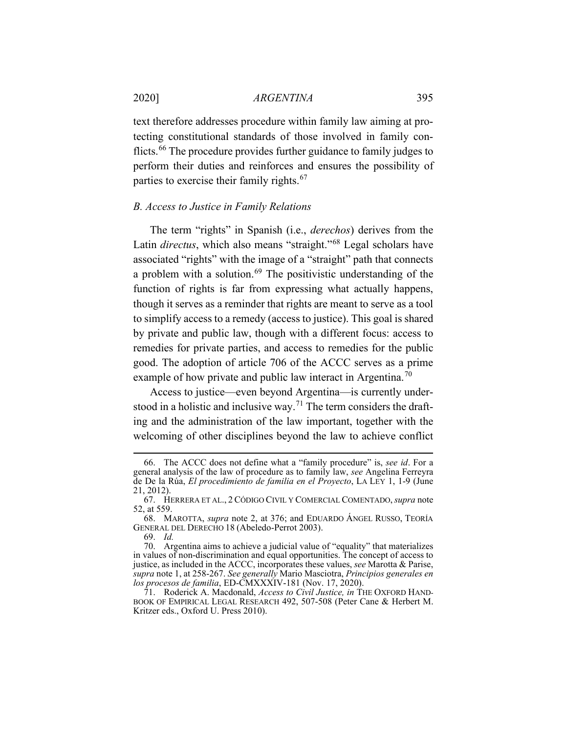<span id="page-13-8"></span>text therefore addresses procedure within family law aiming at protecting constitutional standards of those involved in family conflicts.[66](#page-13-1) The procedure provides further guidance to family judges to perform their duties and reinforces and ensures the possibility of parties to exercise their family rights.<sup>[67](#page-13-2)</sup>

## <span id="page-13-0"></span>*B. Access to Justice in Family Relations*

The term "rights" in Spanish (i.e., *derechos*) derives from the Latin *directus*, which also means "straight."<sup>[68](#page-13-3)</sup> Legal scholars have associated "rights" with the image of a "straight" path that connects a problem with a solution. $69$  The positivistic understanding of the function of rights is far from expressing what actually happens, though it serves as a reminder that rights are meant to serve as a tool to simplify access to a remedy (access to justice). This goal is shared by private and public law, though with a different focus: access to remedies for private parties, and access to remedies for the public good. The adoption of article 706 of the ACCC serves as a prime example of how private and public law interact in Argentina.<sup>[70](#page-13-5)</sup>

<span id="page-13-7"></span>Access to justice—even beyond Argentina—is currently under-stood in a holistic and inclusive way.<sup>[71](#page-13-6)</sup> The term considers the drafting and the administration of the law important, together with the welcoming of other disciplines beyond the law to achieve conflict

<span id="page-13-1"></span><sup>66.</sup> The ACCC does not define what a "family procedure" is, *see id*. For a general analysis of the law of procedure as to family law, *see* Angelina Ferreyra de De la Rúa, *El procedimiento de familia en el Proyecto*, LA LEY 1, 1-9 (June 21, 2012).

<span id="page-13-2"></span><sup>67.</sup> HERRERA ET AL., 2 CÓDIGO CIVIL Y COMERCIAL COMENTADO,*supra* note [52,](#page-10-7) at 559.

<span id="page-13-3"></span><sup>68.</sup> MAROTTA, *supra* note [2,](#page-2-5) at 376; and EDUARDO ÁNGEL RUSSO, TEORÍA GENERAL DEL DERECHO 18 (Abeledo-Perrot 2003).

<sup>69.</sup> *Id.*

<span id="page-13-5"></span><span id="page-13-4"></span><sup>70.</sup> Argentina aims to achieve a judicial value of "equality" that materializes in values of non-discrimination and equal opportunities. The concept of access to justice, as included in the ACCC, incorporates these values, *see* Marotta & Parise, *supra* not[e 1,](#page-2-3) at 258-267. *See generally* Mario Masciotra, *Principios generales en los procesos de familia*, ED-CMXXXIV-181 (Nov. 17, 2020).

<span id="page-13-6"></span><sup>71.</sup> Roderick A. Macdonald, *Access to Civil Justice, in* THE OXFORD HAND-BOOK OF EMPIRICAL LEGAL RESEARCH 492, 507-508 (Peter Cane & Herbert M. Kritzer eds., Oxford U. Press 2010).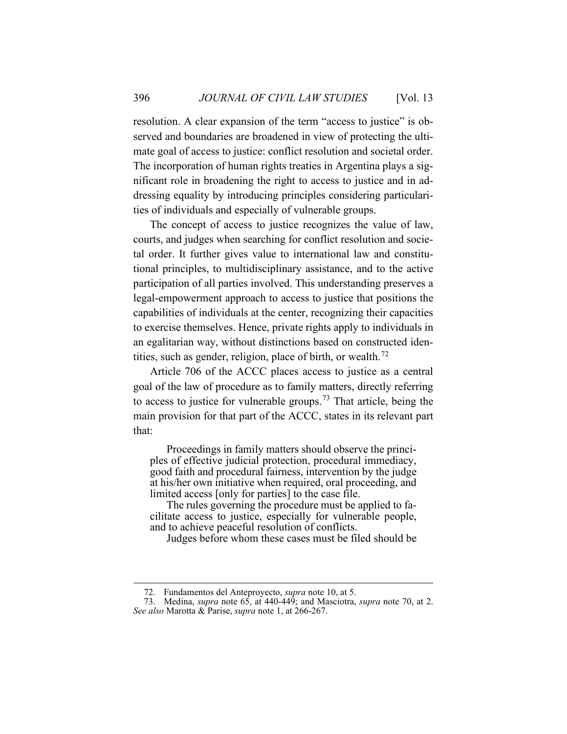resolution. A clear expansion of the term "access to justice" is observed and boundaries are broadened in view of protecting the ultimate goal of access to justice: conflict resolution and societal order. The incorporation of human rights treaties in Argentina plays a significant role in broadening the right to access to justice and in addressing equality by introducing principles considering particularities of individuals and especially of vulnerable groups.

The concept of access to justice recognizes the value of law, courts, and judges when searching for conflict resolution and societal order. It further gives value to international law and constitutional principles, to multidisciplinary assistance, and to the active participation of all parties involved. This understanding preserves a legal-empowerment approach to access to justice that positions the capabilities of individuals at the center, recognizing their capacities to exercise themselves. Hence, private rights apply to individuals in an egalitarian way, without distinctions based on constructed iden-tities, such as gender, religion, place of birth, or wealth.<sup>[72](#page-14-0)</sup>

Article 706 of the ACCC places access to justice as a central goal of the law of procedure as to family matters, directly referring to access to justice for vulnerable groups.<sup>[73](#page-14-1)</sup> That article, being the main provision for that part of the ACCC, states in its relevant part that:

Proceedings in family matters should observe the principles of effective judicial protection, procedural immediacy, good faith and procedural fairness, intervention by the judge at his/her own initiative when required, oral proceeding, and limited access [only for parties] to the case file.

The rules governing the procedure must be applied to facilitate access to justice, especially for vulnerable people, and to achieve peaceful resolution of conflicts.

Judges before whom these cases must be filed should be

<sup>72.</sup> Fundamentos del Anteproyecto, *supra* not[e 10,](#page-4-0) at 5.

<span id="page-14-1"></span><span id="page-14-0"></span><sup>73.</sup> Medina, *supra* note [65,](#page-12-7) at 440-449; and Masciotra, *supra* note [70,](#page-13-7) at 2. *See also* Marotta & Parise, *supra* not[e 1,](#page-2-3) at 266-267.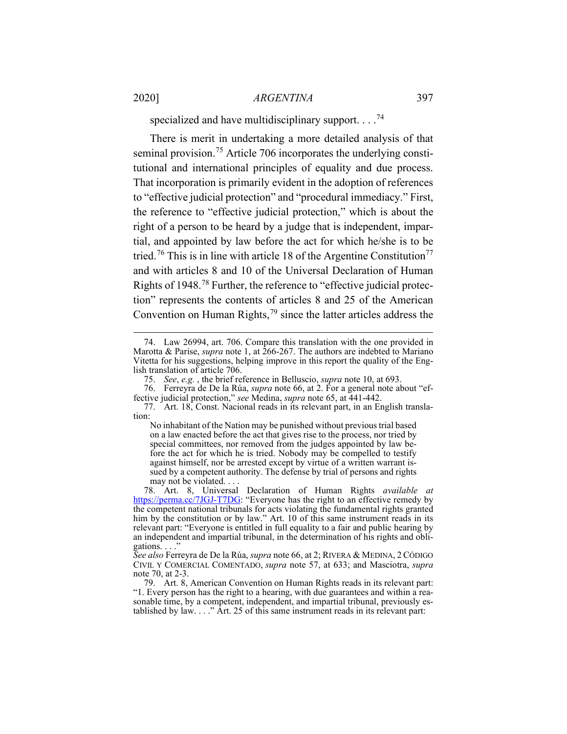specialized and have multidisciplinary support.  $\dots$ .<sup>[74](#page-15-0)</sup>

There is merit in undertaking a more detailed analysis of that seminal provision.<sup>[75](#page-15-1)</sup> Article 706 incorporates the underlying constitutional and international principles of equality and due process. That incorporation is primarily evident in the adoption of references to "effective judicial protection" and "procedural immediacy." First, the reference to "effective judicial protection," which is about the right of a person to be heard by a judge that is independent, impartial, and appointed by law before the act for which he/she is to be tried.<sup>[76](#page-15-2)</sup> This is in line with article 18 of the Argentine Constitution<sup>[77](#page-15-3)</sup> and with articles 8 and 10 of the Universal Declaration of Human Rights of 1948.[78](#page-15-4) Further, the reference to "effective judicial protection" represents the contents of articles 8 and 25 of the American Convention on Human Rights,  $79$  since the latter articles address the

<span id="page-15-6"></span><span id="page-15-0"></span><sup>74.</sup> Law 26994, art. 706. Compare this translation with the one provided in Marotta & Parise, *supra* note [1,](#page-2-3) at 266-267. The authors are indebted to Mariano Vitetta for his suggestions, helping improve in this report the quality of the English translation of article 706.

<sup>75.</sup> *See*, *e.g.* , the brief reference in Belluscio, *supra* not[e 10,](#page-4-0) at 693.

<span id="page-15-2"></span><span id="page-15-1"></span><sup>76.</sup> Ferreyra de De la Rúa, *supra* note [66,](#page-13-8) at 2. For a general note about "effective judicial protection," *see* Medina, *supra* note [65,](#page-12-7) at 441-442.

<span id="page-15-3"></span><sup>77.</sup> Art. 18, Const. Nacional reads in its relevant part, in an English translation:

No inhabitant of the Nation may be punished without previous trial based on a law enacted before the act that gives rise to the process, nor tried by special committees, nor removed from the judges appointed by law before the act for which he is tried. Nobody may be compelled to testify against himself, nor be arrested except by virtue of a written warrant issued by a competent authority. The defense by trial of persons and rights may not be violated. . . .

<span id="page-15-4"></span><sup>78.</sup> Art. 8, Universal Declaration of Human Rights *available at*  [https://perma.cc/7JGJ-T7DG:](https://perma.cc/7JGJ-T7DG) "Everyone has the right to an effective remedy by the competent national tribunals for acts violating the fundamental rights granted him by the constitution or by law." Art. 10 of this same instrument reads in its relevant part: "Everyone is entitled in full equality to a fair and public hearing by an independent and impartial tribunal, in the determination of his rights and obligations. . . ."

*See also* Ferreyra de De la Rúa, *supra* not[e 66,](#page-13-8) at 2; RIVERA & MEDINA, 2 CÓDIGO CIVIL Y COMERCIAL COMENTADO, *supra* note [57,](#page-11-4) at 633; and Masciotra, *supra* not[e 70,](#page-13-7) at 2-3.

<span id="page-15-5"></span><sup>79.</sup> Art. 8, American Convention on Human Rights reads in its relevant part: "1. Every person has the right to a hearing, with due guarantees and within a reasonable time, by a competent, independent, and impartial tribunal, previously established by law. . . ." Art. 25 of this same instrument reads in its relevant part: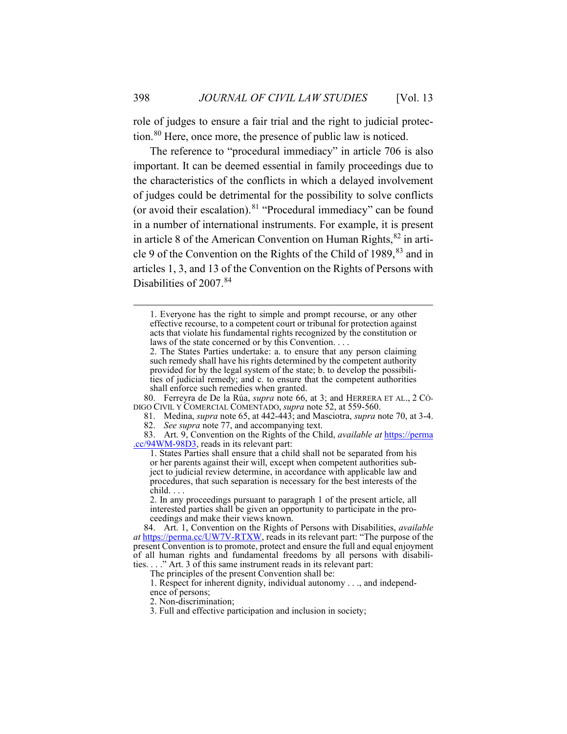role of judges to ensure a fair trial and the right to judicial protection.[80](#page-16-0) Here, once more, the presence of public law is noticed.

The reference to "procedural immediacy" in article 706 is also important. It can be deemed essential in family proceedings due to the characteristics of the conflicts in which a delayed involvement of judges could be detrimental for the possibility to solve conflicts (or avoid their escalation). $81$  "Procedural immediacy" can be found in a number of international instruments. For example, it is present in article 8 of the American Convention on Human Rights,  $82$  in arti-cle 9 of the Convention on the Rights of the Child of 1989, <sup>[83](#page-16-3)</sup> and in articles 1, 3, and 13 of the Convention on the Rights of Persons with Disabilities of 2007.<sup>[84](#page-16-4)</sup>

81. Medina, *supra* not[e 65,](#page-12-7) at 442-443; and Masciotra, *supra* not[e 70,](#page-13-7) at 3-4.

<sup>1.</sup> Everyone has the right to simple and prompt recourse, or any other effective recourse, to a competent court or tribunal for protection against acts that violate his fundamental rights recognized by the constitution or laws of the state concerned or by this Convention. . . .

<sup>2.</sup> The States Parties undertake: a. to ensure that any person claiming such remedy shall have his rights determined by the competent authority provided for by the legal system of the state; b. to develop the possibilities of judicial remedy; and c. to ensure that the competent authorities shall enforce such remedies when granted.

<span id="page-16-1"></span><span id="page-16-0"></span><sup>80.</sup> Ferreyra de De la Rúa, *supra* note [66,](#page-13-8) at 3; and HERRERA ET AL., 2 CÓ-DIGO CIVIL Y COMERCIAL COMENTADO, *supra* note [52,](#page-10-7) at 559-560.

<sup>82.</sup> *See supra* not[e 77,](#page-15-6) and accompanying text.

<span id="page-16-3"></span><span id="page-16-2"></span><sup>83.</sup> Art. 9, Convention on the Rights of the Child, *available at* [https://perma](https://perma.cc/94WM-98D3) [.cc/94WM-98D3,](https://perma.cc/94WM-98D3) reads in its relevant part:

<sup>1.</sup> States Parties shall ensure that a child shall not be separated from his or her parents against their will, except when competent authorities subject to judicial review determine, in accordance with applicable law and procedures, that such separation is necessary for the best interests of the

<sup>2.</sup> In any proceedings pursuant to paragraph 1 of the present article, all interested parties shall be given an opportunity to participate in the proceedings and make their views known.

<span id="page-16-4"></span><sup>84.</sup> Art. 1, Convention on the Rights of Persons with Disabilities, *available at* [https://perma.cc/UW7V-RTXW,](https://perma.cc/UW7V-RTXW) reads in its relevant part: "The purpose of the present Convention is to promote, protect and ensure the full and equal enjoyment of all human rights and fundamental freedoms by all persons with disabilities. . . ." Art. 3 of this same instrument reads in its relevant part:

The principles of the present Convention shall be:

<sup>1.</sup> Respect for inherent dignity, individual autonomy . . ., and independence of persons;

<sup>2.</sup> Non-discrimination;

<sup>3.</sup> Full and effective participation and inclusion in society;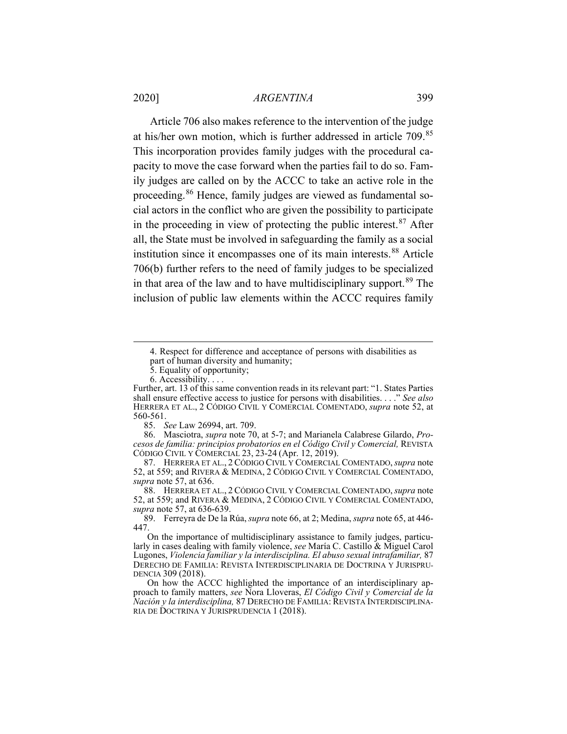Article 706 also makes reference to the intervention of the judge at his/her own motion, which is further addressed in article 709.[85](#page-17-0) This incorporation provides family judges with the procedural capacity to move the case forward when the parties fail to do so. Family judges are called on by the ACCC to take an active role in the proceeding. [86](#page-17-1) Hence, family judges are viewed as fundamental social actors in the conflict who are given the possibility to participate in the proceeding in view of protecting the public interest. $87$  After all, the State must be involved in safeguarding the family as a social institution since it encompasses one of its main interests.<sup>[88](#page-17-3)</sup> Article 706(b) further refers to the need of family judges to be specialized in that area of the law and to have multidisciplinary support.  $89$  The inclusion of public law elements within the ACCC requires family

4. Respect for difference and acceptance of persons with disabilities as part of human diversity and humanity;

5. Equality of opportunity;

6. Accessibility. . . .

Further, art. 13 of this same convention reads in its relevant part: "1. States Parties shall ensure effective access to justice for persons with disabilities. . . ." *See also* HERRERA ET AL., 2 CÓDIGO CIVIL Y COMERCIAL COMENTADO, *supra* note [52,](#page-10-7) at 560-561.

85. *See* Law 26994, art. 709.

<span id="page-17-1"></span><span id="page-17-0"></span>86. Masciotra, *supra* note [70,](#page-13-7) at 5-7; and Marianela Calabrese Gilardo, *Procesos de familia: principios probatorios en el Código Civil y Comercial,* REVISTA CÓDIGO CIVIL Y COMERCIAL 23, 23-24 (Apr. 12, 2019).

<span id="page-17-2"></span>87. HERRERA ET AL., 2 CÓDIGO CIVIL Y COMERCIAL COMENTADO,*supra* note [52,](#page-10-7) at 559; and RIVERA & MEDINA, 2 CÓDIGO CIVIL Y COMERCIAL COMENTADO, *supra* note [57,](#page-11-4) at 636.

<span id="page-17-3"></span>88. HERRERA ET AL., 2 CÓDIGO CIVIL Y COMERCIAL COMENTADO,*supra* note [52,](#page-10-7) at 559; and RIVERA & MEDINA, 2 CÓDIGO CIVIL Y COMERCIAL COMENTADO, *supra* note [57,](#page-11-4) at 636-639.

<span id="page-17-4"></span>89. Ferreyra de De la Rúa, *supra* not[e 66,](#page-13-8) at 2; Medina, *supra* not[e 65,](#page-12-7) at 446- 447.

On the importance of multidisciplinary assistance to family judges, particularly in cases dealing with family violence, *see* María C. Castillo & Miguel Carol Lugones, *Violencia familiar y la interdisciplina. El abuso sexual intrafamiliar,* 87 DERECHO DE FAMILIA: REVISTA INTERDISCIPLINARIA DE DOCTRINA Y JURISPRU-DENCIA 309 (2018).

On how the ACCC highlighted the importance of an interdisciplinary approach to family matters, *see* Nora Lloveras, *El Código Civil y Comercial de la Nación y la interdisciplina,* 87 DERECHO DE FAMILIA: REVISTA INTERDISCIPLINA-RIA DE DOCTRINA Y JURISPRUDENCIA 1 (2018).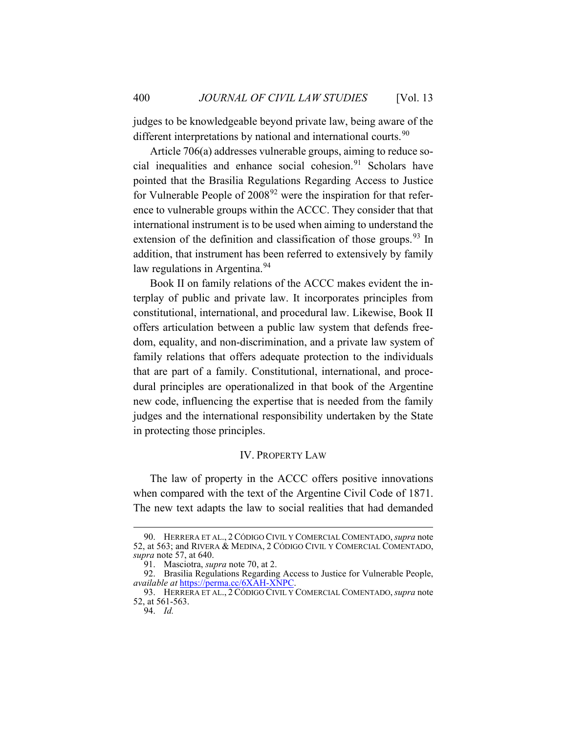judges to be knowledgeable beyond private law, being aware of the different interpretations by national and international courts.<sup>[90](#page-18-1)</sup>

Article 706(a) addresses vulnerable groups, aiming to reduce social inequalities and enhance social cohesion. $91$  Scholars have pointed that the Brasilia Regulations Regarding Access to Justice for Vulnerable People of  $2008<sup>92</sup>$  $2008<sup>92</sup>$  $2008<sup>92</sup>$  were the inspiration for that reference to vulnerable groups within the ACCC. They consider that that international instrument is to be used when aiming to understand the extension of the definition and classification of those groups.<sup>[93](#page-18-4)</sup> In addition, that instrument has been referred to extensively by family law regulations in Argentina.<sup>[94](#page-18-5)</sup>

Book II on family relations of the ACCC makes evident the interplay of public and private law. It incorporates principles from constitutional, international, and procedural law. Likewise, Book II offers articulation between a public law system that defends freedom, equality, and non-discrimination, and a private law system of family relations that offers adequate protection to the individuals that are part of a family. Constitutional, international, and procedural principles are operationalized in that book of the Argentine new code, influencing the expertise that is needed from the family judges and the international responsibility undertaken by the State in protecting those principles.

#### IV. PROPERTY LAW

<span id="page-18-0"></span>The law of property in the ACCC offers positive innovations when compared with the text of the Argentine Civil Code of 1871. The new text adapts the law to social realities that had demanded

<span id="page-18-1"></span><sup>90.</sup> HERRERA ET AL., 2 CÓDIGO CIVIL Y COMERCIAL COMENTADO,*supra* note [52,](#page-10-7) at 563; and RIVERA & MEDINA, 2 CÓDIGO CIVIL Y COMERCIAL COMENTADO, *supra* note [57,](#page-11-4) at 640.

<sup>91.</sup> Masciotra, *supra* note [70,](#page-13-7) at 2.

<span id="page-18-3"></span><span id="page-18-2"></span><sup>92.</sup> Brasilia Regulations Regarding Access to Justice for Vulnerable People, *available at* [https://perma.cc/6XAH-XNPC.](https://perma.cc/6XAH-XNPC)

<span id="page-18-5"></span><span id="page-18-4"></span><sup>93.</sup> HERRERA ET AL., 2 CÓDIGO CIVIL Y COMERCIAL COMENTADO,*supra* note [52,](#page-10-7) at 561-563.

<sup>94.</sup> *Id.*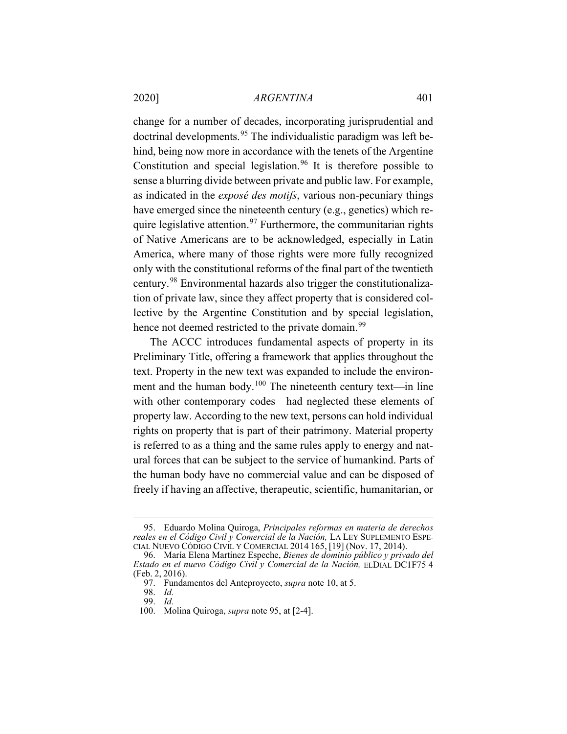<span id="page-19-0"></span>change for a number of decades, incorporating jurisprudential and doctrinal developments.<sup>[95](#page-19-1)</sup> The individualistic paradigm was left behind, being now more in accordance with the tenets of the Argentine Constitution and special legislation.<sup>[96](#page-19-2)</sup> It is therefore possible to sense a blurring divide between private and public law. For example, as indicated in the *exposé des motifs*, various non-pecuniary things have emerged since the nineteenth century (e.g., genetics) which re-quire legislative attention.<sup>[97](#page-19-3)</sup> Furthermore, the communitarian rights of Native Americans are to be acknowledged, especially in Latin America, where many of those rights were more fully recognized only with the constitutional reforms of the final part of the twentieth century.[98](#page-19-4) Environmental hazards also trigger the constitutionalization of private law, since they affect property that is considered collective by the Argentine Constitution and by special legislation, hence not deemed restricted to the private domain.<sup>[99](#page-19-5)</sup>

The ACCC introduces fundamental aspects of property in its Preliminary Title, offering a framework that applies throughout the text. Property in the new text was expanded to include the environ-ment and the human body.<sup>[100](#page-19-6)</sup> The nineteenth century text—in line with other contemporary codes—had neglected these elements of property law. According to the new text, persons can hold individual rights on property that is part of their patrimony. Material property is referred to as a thing and the same rules apply to energy and natural forces that can be subject to the service of humankind. Parts of the human body have no commercial value and can be disposed of freely if having an affective, therapeutic, scientific, humanitarian, or

<span id="page-19-1"></span><sup>95.</sup> Eduardo Molina Quiroga, *Principales reformas en materia de derechos reales en el Código Civil y Comercial de la Nación,* LA LEY SUPLEMENTO ESPE-CIAL NUEVO CÓDIGO CIVIL Y COMERCIAL 2014 165, [19] (Nov. 17, 2014).

<span id="page-19-4"></span><span id="page-19-3"></span><span id="page-19-2"></span><sup>96.</sup> María Elena Martínez Espeche, *Bienes de dominio público y privado del Estado en el nuevo Código Civil y Comercial de la Nación,* ELDIAL DC1F75 4 (Feb. 2, 2016).

<sup>97.</sup> Fundamentos del Anteproyecto, *supra* not[e 10,](#page-4-0) at 5.

<sup>98.</sup> *Id.*

<sup>99.</sup> *Id.*

<span id="page-19-6"></span><span id="page-19-5"></span><sup>100.</sup> Molina Quiroga, *supra* note [95,](#page-19-0) at [2-4].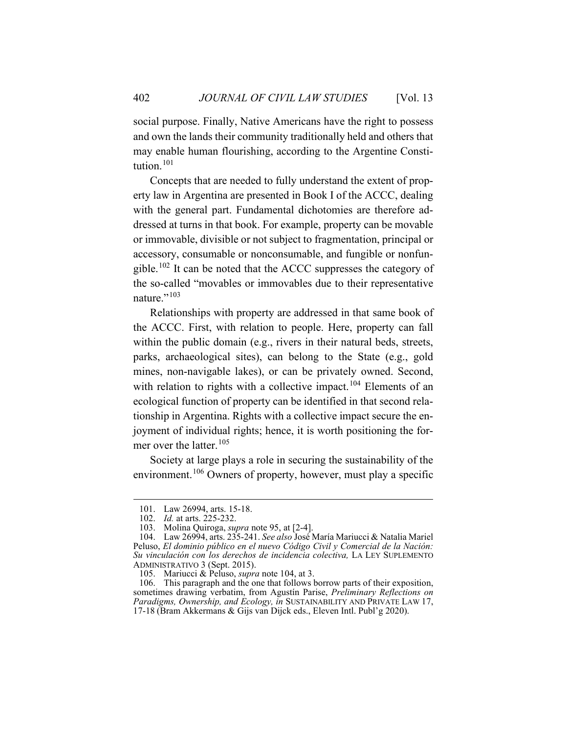social purpose. Finally, Native Americans have the right to possess and own the lands their community traditionally held and others that may enable human flourishing, according to the Argentine Consti-tution.<sup>[101](#page-20-1)</sup>

Concepts that are needed to fully understand the extent of property law in Argentina are presented in Book I of the ACCC, dealing with the general part. Fundamental dichotomies are therefore addressed at turns in that book. For example, property can be movable or immovable, divisible or not subject to fragmentation, principal or accessory, consumable or nonconsumable, and fungible or nonfungible.[102](#page-20-2) It can be noted that the ACCC suppresses the category of the so-called "movables or immovables due to their representative nature."<sup>[103](#page-20-3)</sup>

<span id="page-20-0"></span>Relationships with property are addressed in that same book of the ACCC. First, with relation to people. Here, property can fall within the public domain (e.g., rivers in their natural beds, streets, parks, archaeological sites), can belong to the State (e.g., gold mines, non-navigable lakes), or can be privately owned. Second, with relation to rights with a collective impact.<sup>[104](#page-20-4)</sup> Elements of an ecological function of property can be identified in that second relationship in Argentina. Rights with a collective impact secure the enjoyment of individual rights; hence, it is worth positioning the for-mer over the latter.<sup>[105](#page-20-5)</sup>

<span id="page-20-7"></span>Society at large plays a role in securing the sustainability of the environment.[106](#page-20-6) Owners of property, however, must play a specific

<sup>101.</sup> Law 26994, arts. 15-18.

<sup>102.</sup> *Id.* at arts. 225-232.

<sup>103.</sup> Molina Quiroga, *supra* note [95,](#page-19-0) at [2-4].

<span id="page-20-4"></span><span id="page-20-3"></span><span id="page-20-2"></span><span id="page-20-1"></span><sup>104.</sup> Law 26994, arts. 235-241. *See also* José María Mariucci & Natalia Mariel Peluso, *El dominio público en el nuevo Código Civil y Comercial de la Nación: Su vinculación con los derechos de incidencia colectiva,* LA LEY SUPLEMENTO ADMINISTRATIVO 3 (Sept. 2015).

<sup>105.</sup> Mariucci & Peluso, *supra* note [104,](#page-20-0) at 3.

<span id="page-20-6"></span><span id="page-20-5"></span><sup>106.</sup> This paragraph and the one that follows borrow parts of their exposition, sometimes drawing verbatim, from Agustín Parise, *Preliminary Reflections on Paradigms, Ownership, and Ecology, in* SUSTAINABILITY AND PRIVATE LAW 17, 17-18 (Bram Akkermans & Gijs van Dijck eds., Eleven Intl. Publ'g 2020).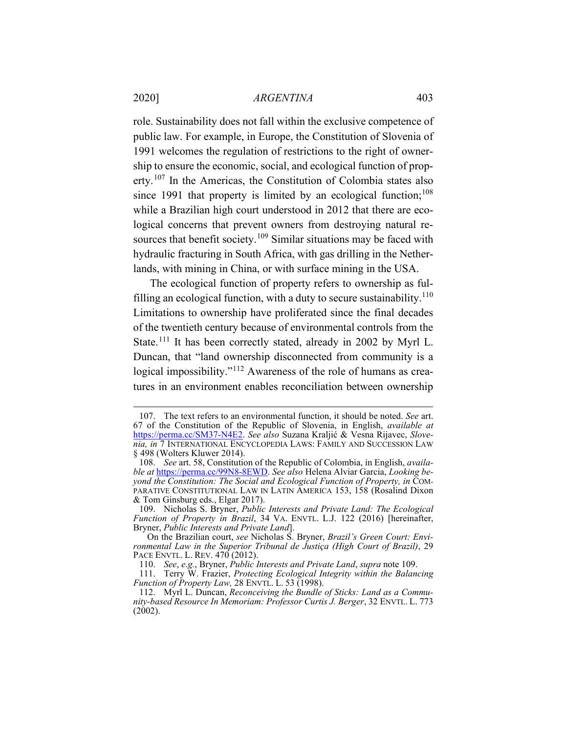role. Sustainability does not fall within the exclusive competence of public law. For example, in Europe, the Constitution of Slovenia of 1991 welcomes the regulation of restrictions to the right of ownership to ensure the economic, social, and ecological function of prop-erty.<sup>[107](#page-21-1)</sup> In the Americas, the Constitution of Colombia states also since 1991 that property is limited by an ecological function; $108$ while a Brazilian high court understood in 2012 that there are ecological concerns that prevent owners from destroying natural re-sources that benefit society.<sup>[109](#page-21-3)</sup> Similar situations may be faced with hydraulic fracturing in South Africa, with gas drilling in the Netherlands, with mining in China, or with surface mining in the USA.

<span id="page-21-7"></span><span id="page-21-0"></span>The ecological function of property refers to ownership as ful-filling an ecological function, with a duty to secure sustainability.<sup>[110](#page-21-4)</sup> Limitations to ownership have proliferated since the final decades of the twentieth century because of environmental controls from the State.<sup>[111](#page-21-5)</sup> It has been correctly stated, already in 2002 by Myrl L. Duncan, that "land ownership disconnected from community is a logical impossibility."<sup>[112](#page-21-6)</sup> Awareness of the role of humans as creatures in an environment enables reconciliation between ownership

<span id="page-21-1"></span><sup>107.</sup> The text refers to an environmental function, it should be noted. *See* art. 67 of the Constitution of the Republic of Slovenia, in English, *available at* [https://perma.cc/SM37-N4E2.](https://perma.cc/SM37-N4E2) *See also* Suzana Kraljić & Vesna Rijavec, *Slovenia, in* 7 INTERNATIONAL ENCYCLOPEDIA LAWS: FAMILY AND SUCCESSION LAW § 498 (Wolters Kluwer 2014).

<span id="page-21-2"></span><sup>108.</sup> *See* art. 58, Constitution of the Republic of Colombia, in English, *available at* [https://perma.cc/99N8-8EWD.](https://perma.cc/99N8-8EWD) *See also* Helena Alviar Garcia, *Looking beyond the Constitution: The Social and Ecological Function of Property, in* COM-PARATIVE CONSTITUTIONAL LAW IN LATIN AMERICA 153, 158 (Rosalind Dixon & Tom Ginsburg eds., Elgar 2017).

<span id="page-21-3"></span><sup>109.</sup> Nicholas S. Bryner, *Public Interests and Private Land: The Ecological Function of Property in Brazil*, 34 VA. ENVTL. L.J. 122 (2016) [hereinafter, Bryner, *Public Interests and Private Land*].

On the Brazilian court, *see* Nicholas S. Bryner, *Brazil's Green Court: Environmental Law in the Superior Tribunal de Justiça (High Court of Brazil)*, 29 PACE ENVTL. L. REV. 470 (2012).

<sup>110.</sup> *See*, *e.g.*, Bryner, *Public Interests and Private Land*, *supra* not[e 109.](#page-21-0)

<span id="page-21-5"></span><span id="page-21-4"></span><sup>111.</sup> Terry W. Frazier, *Protecting Ecological Integrity within the Balancing Function of Property Law,* 28 ENVTL. L. 53 (1998).

<span id="page-21-6"></span><sup>112.</sup> Myrl L. Duncan, *Reconceiving the Bundle of Sticks: Land as a Community-based Resource In Memoriam: Professor Curtis J. Berger*, 32 ENVTL. L. 773  $(2002)$ .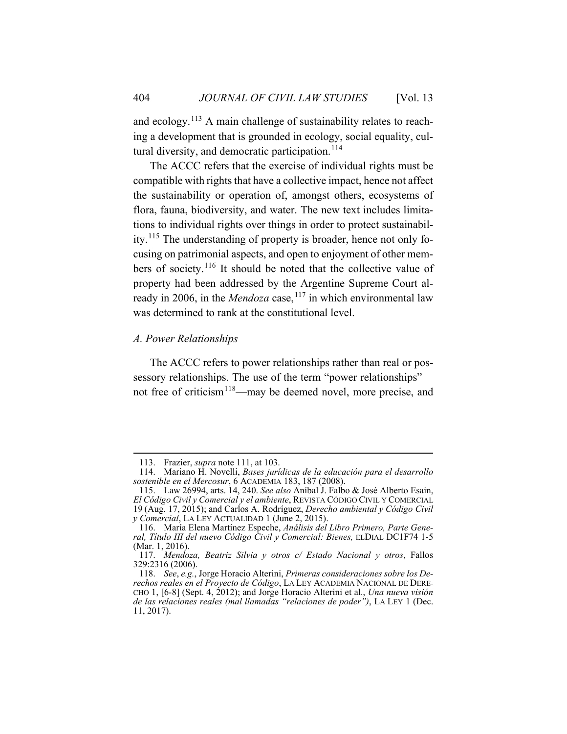and ecology.<sup>[113](#page-22-1)</sup> A main challenge of sustainability relates to reaching a development that is grounded in ecology, social equality, cul-tural diversity, and democratic participation.<sup>[114](#page-22-2)</sup>

The ACCC refers that the exercise of individual rights must be compatible with rights that have a collective impact, hence not affect the sustainability or operation of, amongst others, ecosystems of flora, fauna, biodiversity, and water. The new text includes limitations to individual rights over things in order to protect sustainability.[115](#page-22-3) The understanding of property is broader, hence not only focusing on patrimonial aspects, and open to enjoyment of other members of society.[116](#page-22-4) It should be noted that the collective value of property had been addressed by the Argentine Supreme Court already in 2006, in the *Mendoza* case,  $117$  in which environmental law was determined to rank at the constitutional level.

# <span id="page-22-0"></span>*A. Power Relationships*

<span id="page-22-7"></span>The ACCC refers to power relationships rather than real or possessory relationships. The use of the term "power relationships" not free of criticism<sup>118</sup>—may be deemed novel, more precise, and

<sup>113.</sup> Frazier, *supra* note [111,](#page-21-7) at 103.

<span id="page-22-2"></span><span id="page-22-1"></span><sup>114.</sup> Mariano H. Novelli, *Bases jurídicas de la educación para el desarrollo sostenible en el Mercosur*, 6 ACADEMIA 183, 187 (2008).

<span id="page-22-3"></span><sup>115.</sup> Law 26994, arts. 14, 240. *See also* Aníbal J. Falbo & José Alberto Esain, *El Código Civil y Comercial y el ambiente*, REVISTA CÓDIGO CIVIL Y COMERCIAL 19 (Aug. 17, 2015); and Carlos A. Rodríguez, *Derecho ambiental y Código Civil y Comercial*, LA LEY ACTUALIDAD 1 (June 2, 2015).

<span id="page-22-4"></span><sup>116.</sup> María Elena Martínez Espeche, *Análisis del Libro Primero, Parte General, Título III del nuevo Código Civil y Comercial: Bienes,* ELDIAL DC1F74 1-5 (Mar. 1, 2016).

<span id="page-22-5"></span><sup>117.</sup> *Mendoza, Beatriz Silvia y otros c/ Estado Nacional y otros*, Fallos 329:2316 (2006).

<span id="page-22-6"></span><sup>118.</sup> *See*, *e.g.*, Jorge Horacio Alterini, *Primeras consideraciones sobre los Derechos reales en el Proyecto de Código*, LA LEY ACADEMIA NACIONAL DE DERE-CHO 1, [6-8] (Sept. 4, 2012); and Jorge Horacio Alterini et al., *Una nueva visión de las relaciones reales (mal llamadas "relaciones de poder")*, LA LEY 1 (Dec. 11, 2017).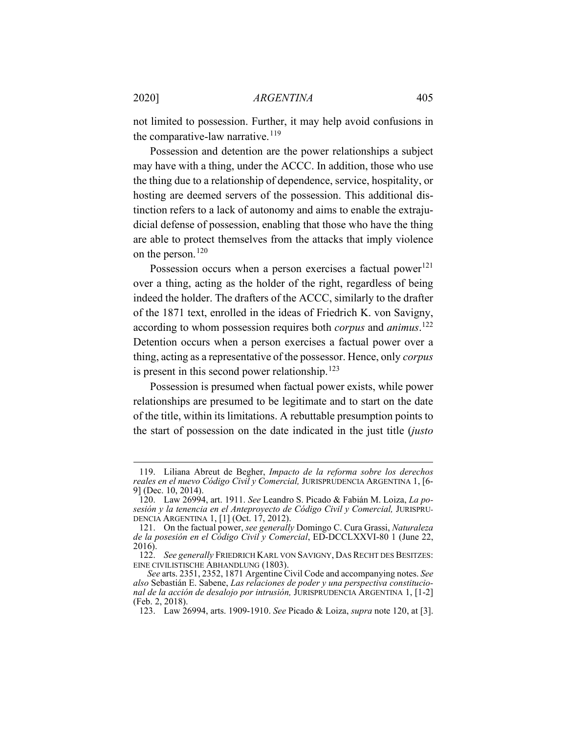<span id="page-23-6"></span>not limited to possession. Further, it may help avoid confusions in the comparative-law narrative. $119$ 

Possession and detention are the power relationships a subject may have with a thing, under the ACCC. In addition, those who use the thing due to a relationship of dependence, service, hospitality, or hosting are deemed servers of the possession. This additional distinction refers to a lack of autonomy and aims to enable the extrajudicial defense of possession, enabling that those who have the thing are able to protect themselves from the attacks that imply violence on the person.<sup>[120](#page-23-2)</sup>

<span id="page-23-0"></span>Possession occurs when a person exercises a factual power<sup>[121](#page-23-3)</sup> over a thing, acting as the holder of the right, regardless of being indeed the holder. The drafters of the ACCC, similarly to the drafter of the 1871 text, enrolled in the ideas of Friedrich K. von Savigny, according to whom possession requires both *corpus* and *animus*. [122](#page-23-4) Detention occurs when a person exercises a factual power over a thing, acting as a representative of the possessor. Hence, only *corpus*  is present in this second power relationship. $123$ 

Possession is presumed when factual power exists, while power relationships are presumed to be legitimate and to start on the date of the title, within its limitations. A rebuttable presumption points to the start of possession on the date indicated in the just title (*justo* 

<span id="page-23-1"></span><sup>119.</sup> Liliana Abreut de Begher, *Impacto de la reforma sobre los derechos reales en el nuevo Código Civil y Comercial,* JURISPRUDENCIA ARGENTINA 1, [6- 9] (Dec. 10, 2014).

<span id="page-23-2"></span><sup>120.</sup> Law 26994, art. 1911. *See* Leandro S. Picado & Fabián M. Loiza, *La posesión y la tenencia en el Anteproyecto de Código Civil y Comercial,* JURISPRU-DENCIA ARGENTINA 1, [1] (Oct. 17, 2012).

<span id="page-23-3"></span><sup>121.</sup> On the factual power, *see generally* Domingo C. Cura Grassi, *Naturaleza de la posesión en el Código Civil y Comercial*, ED-DCCLXXVI-80 1 (June 22, 2016).

<span id="page-23-4"></span><sup>122.</sup> *See generally* FRIEDRICH KARL VON SAVIGNY, DAS RECHT DES BESITZES: EINE CIVILISTISCHE ABHANDLUNG (1803).

<span id="page-23-5"></span>*See* arts. 2351, 2352, 1871 Argentine Civil Code and accompanying notes. *See also* Sebastián E. Sabene, *Las relaciones de poder y una perspectiva constitucional de la acción de desalojo por intrusión,* JURISPRUDENCIA ARGENTINA 1, [1-2] (Feb. 2, 2018).

<sup>123.</sup> Law 26994, arts. 1909-1910. *See* Picado & Loiza, *supra* note [120,](#page-23-0) at [3].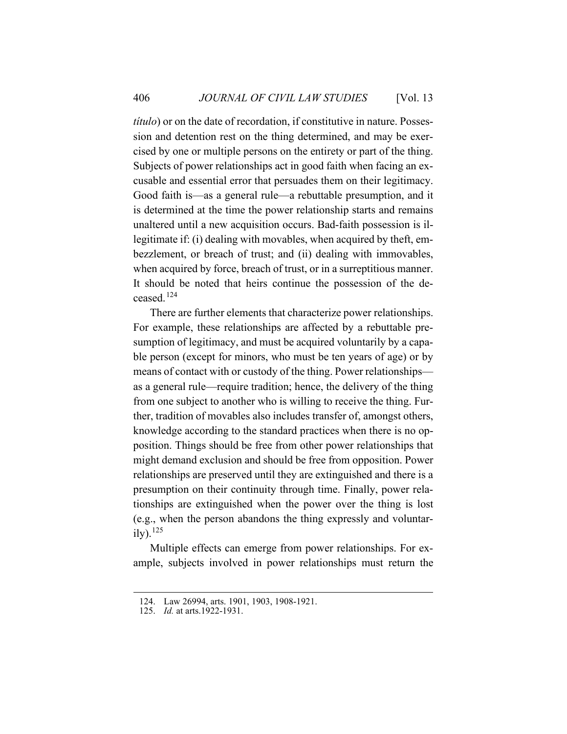*título*) or on the date of recordation, if constitutive in nature. Possession and detention rest on the thing determined, and may be exercised by one or multiple persons on the entirety or part of the thing. Subjects of power relationships act in good faith when facing an excusable and essential error that persuades them on their legitimacy. Good faith is—as a general rule—a rebuttable presumption, and it is determined at the time the power relationship starts and remains unaltered until a new acquisition occurs. Bad-faith possession is illegitimate if: (i) dealing with movables, when acquired by theft, embezzlement, or breach of trust; and (ii) dealing with immovables, when acquired by force, breach of trust, or in a surreptitious manner. It should be noted that heirs continue the possession of the deceased.[124](#page-24-0)

There are further elements that characterize power relationships. For example, these relationships are affected by a rebuttable presumption of legitimacy, and must be acquired voluntarily by a capable person (except for minors, who must be ten years of age) or by means of contact with or custody of the thing. Power relationships as a general rule—require tradition; hence, the delivery of the thing from one subject to another who is willing to receive the thing. Further, tradition of movables also includes transfer of, amongst others, knowledge according to the standard practices when there is no opposition. Things should be free from other power relationships that might demand exclusion and should be free from opposition. Power relationships are preserved until they are extinguished and there is a presumption on their continuity through time. Finally, power relationships are extinguished when the power over the thing is lost (e.g., when the person abandons the thing expressly and voluntarily).  $^{125}$  $^{125}$  $^{125}$ 

Multiple effects can emerge from power relationships. For example, subjects involved in power relationships must return the

<span id="page-24-0"></span><sup>124.</sup> Law 26994, arts. 1901, 1903, 1908-1921.

<span id="page-24-1"></span><sup>125.</sup> *Id.* at arts.1922-1931.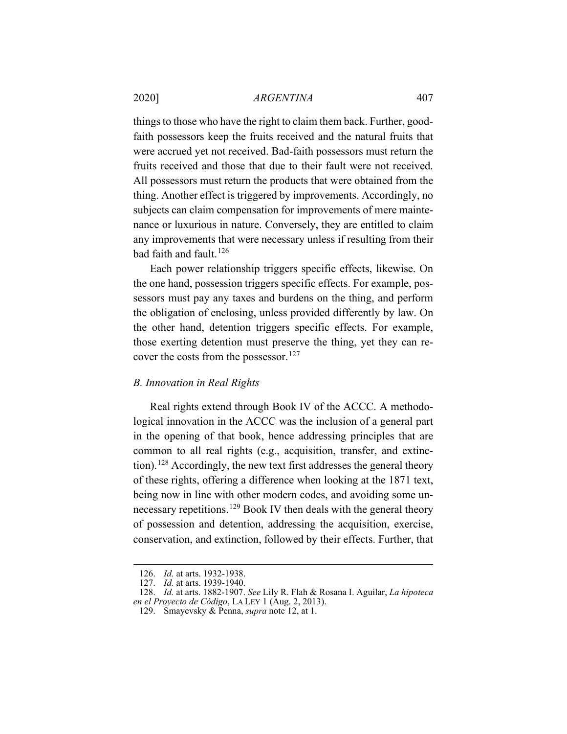things to those who have the right to claim them back. Further, goodfaith possessors keep the fruits received and the natural fruits that were accrued yet not received. Bad-faith possessors must return the fruits received and those that due to their fault were not received. All possessors must return the products that were obtained from the thing. Another effect is triggered by improvements. Accordingly, no subjects can claim compensation for improvements of mere maintenance or luxurious in nature. Conversely, they are entitled to claim any improvements that were necessary unless if resulting from their bad faith and fault.<sup>[126](#page-25-1)</sup>

Each power relationship triggers specific effects, likewise. On the one hand, possession triggers specific effects. For example, possessors must pay any taxes and burdens on the thing, and perform the obligation of enclosing, unless provided differently by law. On the other hand, detention triggers specific effects. For example, those exerting detention must preserve the thing, yet they can re-cover the costs from the possessor.<sup>[127](#page-25-2)</sup>

#### <span id="page-25-0"></span>*B. Innovation in Real Rights*

Real rights extend through Book IV of the ACCC. A methodological innovation in the ACCC was the inclusion of a general part in the opening of that book, hence addressing principles that are common to all real rights (e.g., acquisition, transfer, and extinction).[128](#page-25-3) Accordingly, the new text first addresses the general theory of these rights, offering a difference when looking at the 1871 text, being now in line with other modern codes, and avoiding some un-necessary repetitions.<sup>[129](#page-25-4)</sup> Book IV then deals with the general theory of possession and detention, addressing the acquisition, exercise, conservation, and extinction, followed by their effects. Further, that

<sup>126.</sup> *Id.* at arts. 1932-1938.

<sup>127.</sup> *Id.* at arts. 1939-1940.

<span id="page-25-4"></span><span id="page-25-3"></span><span id="page-25-2"></span><span id="page-25-1"></span><sup>128.</sup> *Id.* at arts. 1882-1907. *See* Lily R. Flah & Rosana I. Aguilar, *La hipoteca en el Proyecto de Código*, LA LEY 1 (Aug. 2, 2013).

<sup>129.</sup> Smayevsky & Penna, *supra* note [12,](#page-4-8) at 1.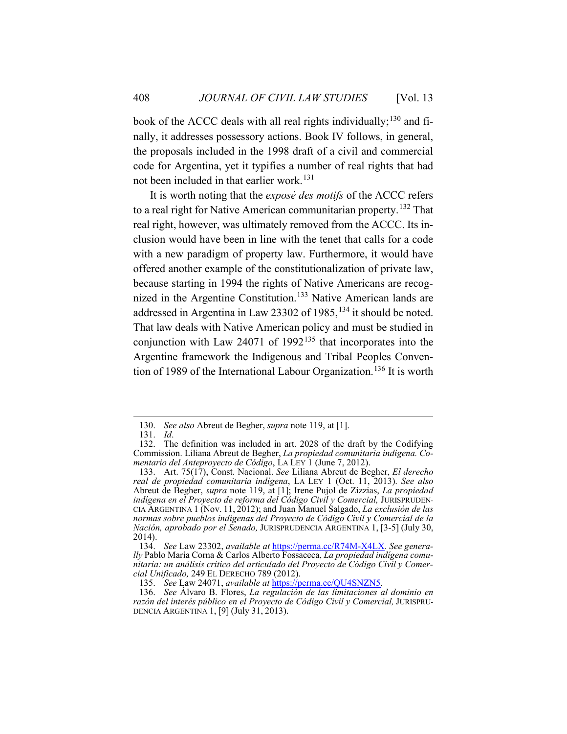book of the ACCC deals with all real rights individually;  $^{130}$  $^{130}$  $^{130}$  and finally, it addresses possessory actions. Book IV follows, in general, the proposals included in the 1998 draft of a civil and commercial code for Argentina, yet it typifies a number of real rights that had not been included in that earlier work.<sup>[131](#page-26-1)</sup>

<span id="page-26-8"></span>It is worth noting that the *exposé des motifs* of the ACCC refers to a real right for Native American communitarian property.<sup>[132](#page-26-2)</sup> That real right, however, was ultimately removed from the ACCC. Its inclusion would have been in line with the tenet that calls for a code with a new paradigm of property law. Furthermore, it would have offered another example of the constitutionalization of private law, because starting in 1994 the rights of Native Americans are recog-nized in the Argentine Constitution.<sup>[133](#page-26-3)</sup> Native American lands are addressed in Argentina in Law 23302 of 1985,<sup>[134](#page-26-4)</sup> it should be noted. That law deals with Native American policy and must be studied in conjunction with Law 24071 of 1992<sup>[135](#page-26-5)</sup> that incorporates into the Argentine framework the Indigenous and Tribal Peoples Conven-tion of 1989 of the International Labour Organization.<sup>[136](#page-26-6)</sup> It is worth

<span id="page-26-7"></span><sup>130.</sup> *See also* Abreut de Begher, *supra* not[e 119,](#page-23-6) at [1].

<sup>131.</sup> *Id*.

<span id="page-26-2"></span><span id="page-26-1"></span><span id="page-26-0"></span><sup>132.</sup> The definition was included in art. 2028 of the draft by the Codifying Commission. Liliana Abreut de Begher, *La propiedad comunitaria indígena. Comentario del Anteproyecto de Código*, LA LEY 1 (June 7, 2012).

<span id="page-26-3"></span><sup>133.</sup> Art. 75(17), Const. Nacional. *See* Liliana Abreut de Begher, *El derecho real de propiedad comunitaria indígena*, LA LEY 1 (Oct. 11, 2013). *See also* Abreut de Begher, *supra* note [119,](#page-23-6) at [1]; Irene Pujol de Zizzias, *La propiedad indígena en el Proyecto de reforma del Código Civil y Comercial,* JURISPRUDEN-CIA ARGENTINA 1 (Nov. 11, 2012); and Juan Manuel Salgado, *La exclusión de las normas sobre pueblos indígenas del Proyecto de Código Civil y Comercial de la Nación, aprobado por el Senado,* JURISPRUDENCIA ARGENTINA 1, [3-5] (July 30, 2014).

<span id="page-26-4"></span><sup>134.</sup> *See* Law 23302, *available at* [https://perma.cc/R74M-X4LX.](https://perma.cc/R74M-X4LX) *See generally* Pablo María Corna & Carlos Alberto Fossaceca, *La propiedad indígena comunitaria: un análisis crítico del articulado del Proyecto de Código Civil y Comercial Unificado,* 249 EL DERECHO 789 (2012).

<sup>135.</sup> *See* Law 24071, *available at* [https://perma.cc/QU4SNZN5.](https://perma.cc/QU4SNZN5)

<span id="page-26-6"></span><span id="page-26-5"></span><sup>136.</sup> *See* Álvaro B. Flores, *La regulación de las limitaciones al dominio en razón del interés público en el Proyecto de Código Civil y Comercial,* JURISPRU-DENCIA ARGENTINA 1, [9] (July 31, 2013).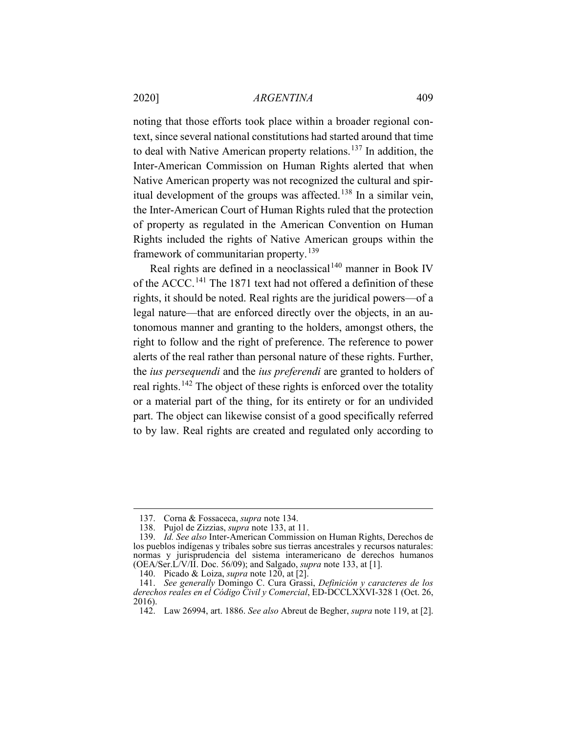noting that those efforts took place within a broader regional context, since several national constitutions had started around that time to deal with Native American property relations.<sup>[137](#page-27-0)</sup> In addition, the Inter-American Commission on Human Rights alerted that when Native American property was not recognized the cultural and spir-itual development of the groups was affected.<sup>[138](#page-27-1)</sup> In a similar vein, the Inter-American Court of Human Rights ruled that the protection of property as regulated in the American Convention on Human Rights included the rights of Native American groups within the framework of communitarian property.<sup>[139](#page-27-2)</sup>

Real rights are defined in a neoclassical<sup>[140](#page-27-3)</sup> manner in Book IV of the ACCC.<sup>[141](#page-27-4)</sup> The 1871 text had not offered a definition of these rights, it should be noted. Real rights are the juridical powers—of a legal nature—that are enforced directly over the objects, in an autonomous manner and granting to the holders, amongst others, the right to follow and the right of preference. The reference to power alerts of the real rather than personal nature of these rights. Further, the *ius persequendi* and the *ius preferendi* are granted to holders of real rights.<sup>[142](#page-27-5)</sup> The object of these rights is enforced over the totality or a material part of the thing, for its entirety or for an undivided part. The object can likewise consist of a good specifically referred to by law. Real rights are created and regulated only according to

<sup>137.</sup> Corna & Fossaceca, *supra* note [134.](#page-26-7) 138. Pujol de Zizzias, *supra* not[e 133,](#page-26-8) at 11.

<span id="page-27-2"></span><span id="page-27-1"></span><span id="page-27-0"></span><sup>139.</sup> *Id. See also* Inter‐American Commission on Human Rights, Derechos de los pueblos indígenas y tribales sobre sus tierras ancestrales y recursos naturales: normas y jurisprudencia del sistema interamericano de derechos humanos (OEA/Ser.L/V/II. Doc. 56/09); and Salgado, *supra* note [133,](#page-26-8) at [1].

<sup>140.</sup> Picado & Loiza, *supra* note [120,](#page-23-0) at [2].

<span id="page-27-5"></span><span id="page-27-4"></span><span id="page-27-3"></span><sup>141.</sup> *See generally* Domingo C. Cura Grassi, *Definición y caracteres de los derechos reales en el Código Civil y Comercial*, ED-DCCLXXVI-328 1 (Oct. 26, 2016).

<sup>142.</sup> Law 26994, art. 1886. *See also* Abreut de Begher, *supra* note [119,](#page-23-6) at [2].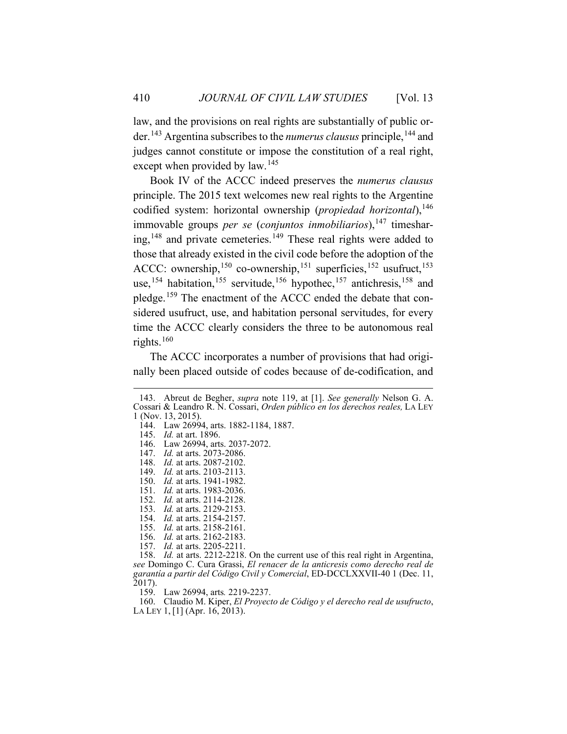law, and the provisions on real rights are substantially of public order.[143](#page-28-0) Argentina subscribes to the *numerus clausus* principle,[144](#page-28-1) and judges cannot constitute or impose the constitution of a real right, except when provided by law.<sup>[145](#page-28-2)</sup>

Book IV of the ACCC indeed preserves the *numerus clausus* principle. The 2015 text welcomes new real rights to the Argentine codified system: horizontal ownership (*propiedad horizontal*),<sup>[146](#page-28-3)</sup> immovable groups *per se* (*conjuntos inmobiliarios*), <sup>[147](#page-28-4)</sup> timeshar-ing,<sup>[148](#page-28-5)</sup> and private cemeteries.<sup>[149](#page-28-6)</sup> These real rights were added to those that already existed in the civil code before the adoption of the ACCC: ownership,<sup>[150](#page-28-7)</sup> co-ownership,<sup>[151](#page-28-8)</sup> superficies,<sup>[152](#page-28-9)</sup> usufruct,<sup>[153](#page-28-10)</sup> use,<sup>[154](#page-28-11)</sup> habitation,<sup>[155](#page-28-12)</sup> servitude,<sup>[156](#page-28-13)</sup> hypothec,<sup>[157](#page-28-14)</sup> antichresis,<sup>[158](#page-28-15)</sup> and pledge.<sup>[159](#page-28-16)</sup> The enactment of the ACCC ended the debate that considered usufruct, use, and habitation personal servitudes, for every time the ACCC clearly considers the three to be autonomous real rights.[160](#page-28-17)

The ACCC incorporates a number of provisions that had originally been placed outside of codes because of de-codification, and

<span id="page-28-1"></span><span id="page-28-0"></span><sup>143.</sup> Abreut de Begher, *supra* note [119,](#page-23-6) at [1]. *See generally* Nelson G. A. Cossari & Leandro R. N. Cossari, *Orden público en los derechos reales,* LA LEY 1 (Nov. 13, 2015).

<span id="page-28-3"></span><span id="page-28-2"></span><sup>144.</sup> Law 26994, arts. 1882-1184, 1887.

<sup>145.</sup> *Id.* at art. 1896.

<sup>146.</sup> Law 26994, arts. 2037-2072.

<span id="page-28-5"></span><span id="page-28-4"></span><sup>147.</sup> *Id.* at arts. 2073-2086.

<sup>148.</sup> *Id.* at arts. 2087-2102.

<sup>149.</sup> *Id.* at arts. 2103-2113.

<span id="page-28-7"></span><span id="page-28-6"></span><sup>150.</sup> *Id.* at arts. 1941-1982.

<span id="page-28-9"></span><span id="page-28-8"></span><sup>151.</sup> *Id.* at arts. 1983-2036.

<sup>152.</sup> *Id.* at arts. 2114-2128.

<span id="page-28-10"></span><sup>153.</sup> *Id.* at arts. 2129-2153.

<sup>154.</sup> *Id.* at arts. 2154-2157.

<sup>155.</sup> *Id.* at arts. 2158-2161.

<sup>156.</sup> *Id.* at arts. 2162-2183. 157. *Id.* at arts. 2205-2211.

<span id="page-28-15"></span><span id="page-28-14"></span><span id="page-28-13"></span><span id="page-28-12"></span><span id="page-28-11"></span><sup>158.</sup> *Id.* at arts. 2212-2218. On the current use of this real right in Argentina, *see* Domingo C. Cura Grassi, *El renacer de la anticresis como derecho real de garantía a partir del Código Civil y Comercial*, ED-DCCLXXVII-40 1 (Dec. 11, 2017).

<sup>159.</sup> Law 26994, arts*.* 2219-2237.

<span id="page-28-17"></span><span id="page-28-16"></span><sup>160.</sup> Claudio M. Kiper, *El Proyecto de Código y el derecho real de usufructo*, LA LEY 1, [1] (Apr. 16, 2013).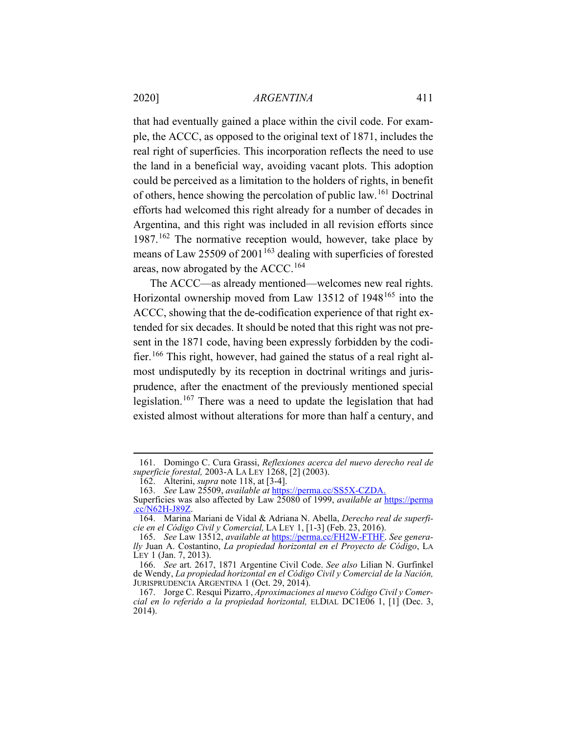that had eventually gained a place within the civil code. For example, the ACCC, as opposed to the original text of 1871, includes the real right of superficies. This incorporation reflects the need to use the land in a beneficial way, avoiding vacant plots. This adoption could be perceived as a limitation to the holders of rights, in benefit of others, hence showing the percolation of public law.[161](#page-29-0) Doctrinal efforts had welcomed this right already for a number of decades in Argentina, and this right was included in all revision efforts since 1987.<sup>[162](#page-29-1)</sup> The normative reception would, however, take place by means of Law 25509 of 2001<sup>[163](#page-29-2)</sup> dealing with superficies of forested areas, now abrogated by the ACCC.<sup>[164](#page-29-3)</sup>

The ACCC—as already mentioned—welcomes new real rights. Horizontal ownership moved from Law 13512 of 1948<sup>[165](#page-29-4)</sup> into the ACCC, showing that the de-codification experience of that right extended for six decades. It should be noted that this right was not present in the 1871 code, having been expressly forbidden by the codifier.[166](#page-29-5) This right, however, had gained the status of a real right almost undisputedly by its reception in doctrinal writings and jurisprudence, after the enactment of the previously mentioned special legislation.[167](#page-29-6) There was a need to update the legislation that had existed almost without alterations for more than half a century, and

<span id="page-29-1"></span><span id="page-29-0"></span><sup>161.</sup> Domingo C. Cura Grassi, *Reflexiones acerca del nuevo derecho real de superficie forestal,* 2003-A LA LEY 1268, [2] (2003).

<sup>162.</sup> Alterini, *supra* note [118,](#page-22-7) at [3-4].

<sup>163.</sup> *See* Law 25509, *available at* <https://perma.cc/SS5X-CZDA.>

<span id="page-29-2"></span>Superficies was also affected by Law 25080 of 1999, *available at* [https://perma](https://perma.cc/N62H-J89Z) [.cc/N62H-J89Z.](https://perma.cc/N62H-J89Z)

<span id="page-29-3"></span><sup>164.</sup> Marina Mariani de Vidal & Adriana N. Abella, *Derecho real de superficie en el Código Civil y Comercial,* LA LEY 1, [1-3] (Feb. 23, 2016).

<span id="page-29-4"></span><sup>165.</sup> *See* Law 13512, *available at* [https://perma.cc/FH2W-FTHF.](https://perma.cc/FH2W-FTHF) *See generally* Juan A. Costantino, *La propiedad horizontal en el Proyecto de Código*, LA LEY 1 (Jan. 7, 2013).

<span id="page-29-5"></span><sup>166.</sup> *See* art. 2617, 1871 Argentine Civil Code. *See also* Lilian N. Gurfinkel de Wendy, *La propiedad horizontal en el Código Civil y Comercial de la Nación,*  JURISPRUDENCIA ARGENTINA 1 (Oct. 29, 2014).

<span id="page-29-6"></span><sup>167.</sup> Jorge C. Resqui Pizarro, *Aproximaciones al nuevo Código Civil y Comercial en lo referido a la propiedad horizontal,* ELDIAL DC1E06 1, [1] (Dec. 3, 2014).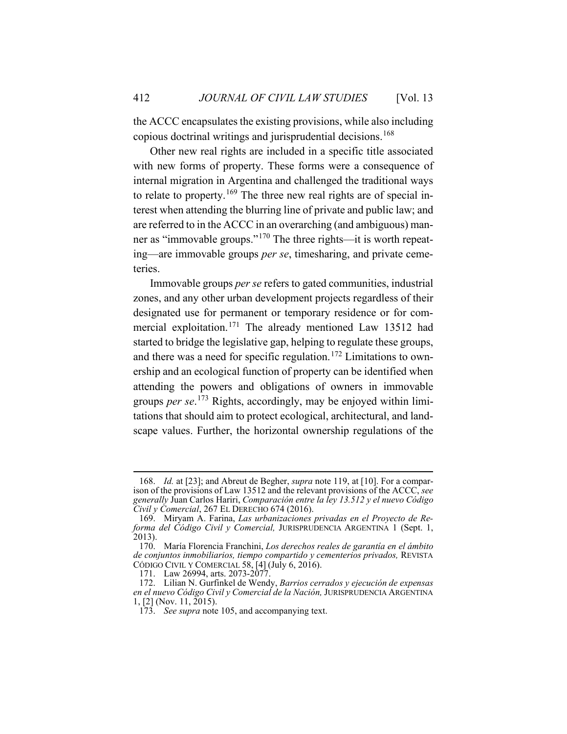the ACCC encapsulates the existing provisions, while also including copious doctrinal writings and jurisprudential decisions.<sup>[168](#page-30-0)</sup>

Other new real rights are included in a specific title associated with new forms of property. These forms were a consequence of internal migration in Argentina and challenged the traditional ways to relate to property.<sup>[169](#page-30-1)</sup> The three new real rights are of special interest when attending the blurring line of private and public law; and are referred to in the ACCC in an overarching (and ambiguous) man-ner as "immovable groups."<sup>[170](#page-30-2)</sup> The three rights—it is worth repeating—are immovable groups *per se*, timesharing, and private cemeteries.

Immovable groups *per se* refers to gated communities, industrial zones, and any other urban development projects regardless of their designated use for permanent or temporary residence or for com-mercial exploitation.<sup>[171](#page-30-3)</sup> The already mentioned Law 13512 had started to bridge the legislative gap, helping to regulate these groups, and there was a need for specific regulation.<sup>[172](#page-30-4)</sup> Limitations to ownership and an ecological function of property can be identified when attending the powers and obligations of owners in immovable groups *per se*. [173](#page-30-5) Rights, accordingly, may be enjoyed within limitations that should aim to protect ecological, architectural, and landscape values. Further, the horizontal ownership regulations of the

<span id="page-30-0"></span><sup>168.</sup> *Id.* at [23]; and Abreut de Begher, *supra* note [119,](#page-23-6) at [10]. For a comparison of the provisions of Law 13512 and the relevant provisions of the ACCC, *see generally* Juan Carlos Hariri, *Comparación entre la ley 13.512 y el nuevo Código Civil y Comercial*, 267 EL DERECHO 674 (2016).

<span id="page-30-1"></span><sup>169.</sup> Miryam A. Farina, *Las urbanizaciones privadas en el Proyecto de Reforma del Código Civil y Comercial,* JURISPRUDENCIA ARGENTINA 1 (Sept. 1, 2013).

<span id="page-30-2"></span><sup>170.</sup> María Florencia Franchini, *Los derechos reales de garantía en el ámbito de conjuntos inmobiliarios, tiempo compartido y cementerios privados,* REVISTA CÓDIGO CIVIL Y COMERCIAL 58, [4] (July 6, 2016).

<sup>171.</sup> Law 26994, arts. 2073-2077.

<span id="page-30-5"></span><span id="page-30-4"></span><span id="page-30-3"></span><sup>172.</sup> Lilian N. Gurfinkel de Wendy, *Barrios cerrados y ejecución de expensas en el nuevo Código Civil y Comercial de la Nación,* JURISPRUDENCIA ARGENTINA 1, [2] (Nov. 11, 2015).

<sup>173.</sup> *See supra* not[e 105,](#page-20-7) and accompanying text.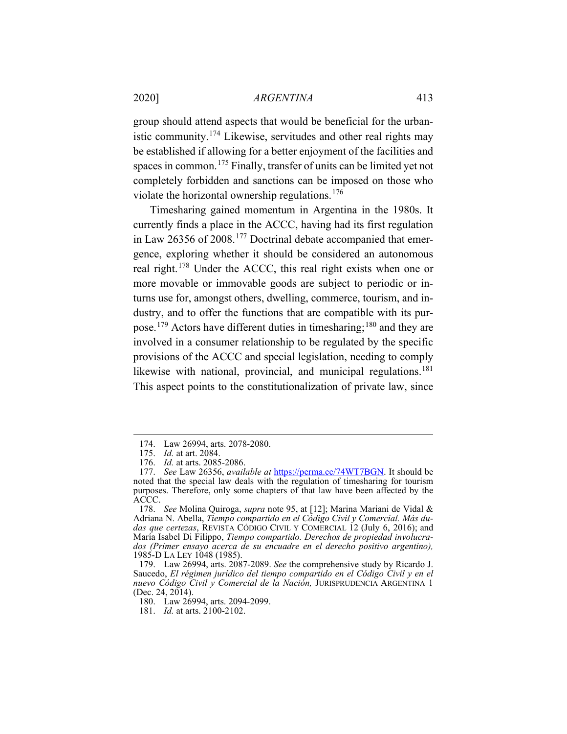group should attend aspects that would be beneficial for the urbanistic community.[174](#page-31-0) Likewise, servitudes and other real rights may be established if allowing for a better enjoyment of the facilities and spaces in common.<sup>[175](#page-31-1)</sup> Finally, transfer of units can be limited yet not completely forbidden and sanctions can be imposed on those who violate the horizontal ownership regulations.<sup>[176](#page-31-2)</sup>

Timesharing gained momentum in Argentina in the 1980s. It currently finds a place in the ACCC, having had its first regulation in Law 26356 of 2008.[177](#page-31-3) Doctrinal debate accompanied that emergence, exploring whether it should be considered an autonomous real right.[178](#page-31-4) Under the ACCC, this real right exists when one or more movable or immovable goods are subject to periodic or inturns use for, amongst others, dwelling, commerce, tourism, and industry, and to offer the functions that are compatible with its purpose.[179](#page-31-5) Actors have different duties in timesharing;[180](#page-31-6) and they are involved in a consumer relationship to be regulated by the specific provisions of the ACCC and special legislation, needing to comply likewise with national, provincial, and municipal regulations.<sup>[181](#page-31-7)</sup> This aspect points to the constitutionalization of private law, since

<sup>174.</sup> Law 26994, arts. 2078-2080.

<sup>175.</sup> *Id.* at art. 2084.

<sup>176.</sup> *Id.* at arts. 2085-2086.

<span id="page-31-3"></span><span id="page-31-2"></span><span id="page-31-1"></span><span id="page-31-0"></span><sup>177.</sup> *See* Law 26356, *available at* [https://perma.cc/74WT7BGN.](https://perma.cc/74WT7BGN) It should be noted that the special law deals with the regulation of timesharing for tourism purposes. Therefore, only some chapters of that law have been affected by the ACCC.

<span id="page-31-4"></span><sup>178.</sup> *See* Molina Quiroga, *supra* note [95,](#page-19-0) at [12]; Marina Mariani de Vidal & Adriana N. Abella, *Tiempo compartido en el Código Civil y Comercial. Más dudas que certezas*, REVISTA CÓDIGO CIVIL Y COMERCIAL 12 (July 6, 2016); and María Isabel Di Filippo, *Tiempo compartido. Derechos de propiedad involucrados (Primer ensayo acerca de su encuadre en el derecho positivo argentino),*  1985-D LA LEY 1048 (1985).

<span id="page-31-6"></span><span id="page-31-5"></span><sup>179.</sup> Law 26994, arts. 2087-2089. *See* the comprehensive study by Ricardo J. Saucedo, *El régimen jurídico del tiempo compartido en el Código Civil y en el nuevo Código Civil y Comercial de la Nación,* JURISPRUDENCIA ARGENTINA 1 (Dec. 24, 2014).

<sup>180.</sup> Law 26994, arts. 2094-2099.

<span id="page-31-7"></span><sup>181.</sup> *Id.* at arts. 2100-2102.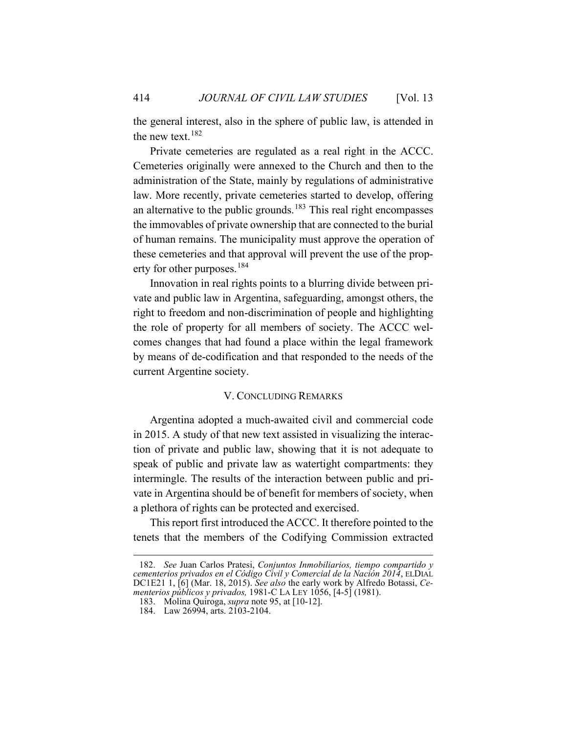the general interest, also in the sphere of public law, is attended in the new text.  $182$ 

Private cemeteries are regulated as a real right in the ACCC. Cemeteries originally were annexed to the Church and then to the administration of the State, mainly by regulations of administrative law. More recently, private cemeteries started to develop, offering an alternative to the public grounds.<sup>[183](#page-32-2)</sup> This real right encompasses the immovables of private ownership that are connected to the burial of human remains. The municipality must approve the operation of these cemeteries and that approval will prevent the use of the prop-erty for other purposes.<sup>[184](#page-32-3)</sup>

Innovation in real rights points to a blurring divide between private and public law in Argentina, safeguarding, amongst others, the right to freedom and non-discrimination of people and highlighting the role of property for all members of society. The ACCC welcomes changes that had found a place within the legal framework by means of de-codification and that responded to the needs of the current Argentine society.

## V. CONCLUDING REMARKS

<span id="page-32-0"></span>Argentina adopted a much-awaited civil and commercial code in 2015. A study of that new text assisted in visualizing the interaction of private and public law, showing that it is not adequate to speak of public and private law as watertight compartments: they intermingle. The results of the interaction between public and private in Argentina should be of benefit for members of society, when a plethora of rights can be protected and exercised.

This report first introduced the ACCC. It therefore pointed to the tenets that the members of the Codifying Commission extracted

<span id="page-32-2"></span><span id="page-32-1"></span><sup>182.</sup> *See* Juan Carlos Pratesi, *Conjuntos Inmobiliarios, tiempo compartido y cementerios privados en el Código Civil y Comercial de la Nación 2014*, ELDIAL DC1E21 1, [6] (Mar. 18, 2015). *See also* the early work by Alfredo Botassi, *Cementerios públicos y privados,* 1981-C LA LEY 1056, [4-5] (1981).

<sup>183.</sup> Molina Quiroga, *supra* note [95,](#page-19-0) at [10-12].

<span id="page-32-3"></span><sup>184.</sup> Law 26994, arts. 2103-2104.